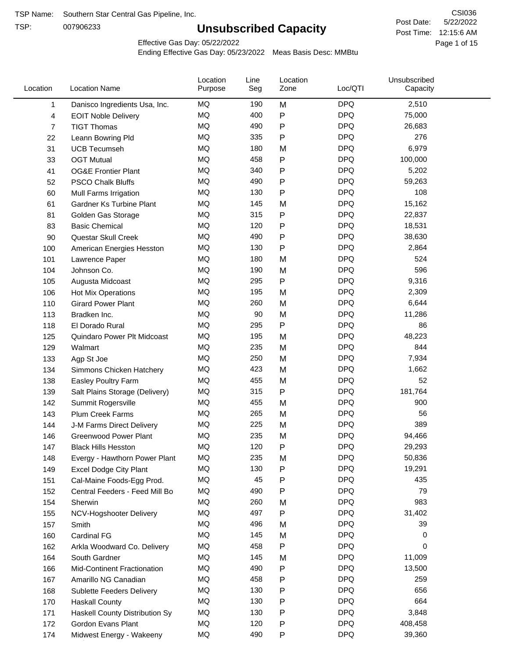TSP:

# **Unsubscribed Capacity**

5/22/2022 Page 1 of 15 Post Time: 12:15:6 AM CSI036 Post Date:

Effective Gas Day: 05/22/2022

| Location | <b>Location Name</b>               | Location<br>Purpose | Line<br>Seg | Location<br>Zone | Loc/QTI    | Unsubscribed<br>Capacity |  |
|----------|------------------------------------|---------------------|-------------|------------------|------------|--------------------------|--|
| 1        | Danisco Ingredients Usa, Inc.      | MQ                  | 190         | M                | <b>DPQ</b> | 2,510                    |  |
| 4        | <b>EOIT Noble Delivery</b>         | MQ                  | 400         | P                | <b>DPQ</b> | 75,000                   |  |
| 7        | <b>TIGT Thomas</b>                 | <b>MQ</b>           | 490         | $\mathsf{P}$     | <b>DPQ</b> | 26,683                   |  |
| 22       | Leann Bowring Pld                  | MQ                  | 335         | $\mathsf{P}$     | <b>DPQ</b> | 276                      |  |
| 31       | <b>UCB Tecumseh</b>                | <b>MQ</b>           | 180         | M                | <b>DPQ</b> | 6,979                    |  |
| 33       | <b>OGT Mutual</b>                  | MQ                  | 458         | $\mathsf{P}$     | <b>DPQ</b> | 100,000                  |  |
| 41       | <b>OG&amp;E Frontier Plant</b>     | MQ                  | 340         | $\mathsf{P}$     | <b>DPQ</b> | 5,202                    |  |
| 52       | <b>PSCO Chalk Bluffs</b>           | MQ                  | 490         | $\mathsf{P}$     | <b>DPQ</b> | 59,263                   |  |
| 60       | Mull Farms Irrigation              | MQ                  | 130         | $\mathsf{P}$     | <b>DPQ</b> | 108                      |  |
| 61       | Gardner Ks Turbine Plant           | MQ                  | 145         | M                | <b>DPQ</b> | 15,162                   |  |
| 81       | Golden Gas Storage                 | MQ                  | 315         | P                | <b>DPQ</b> | 22,837                   |  |
| 83       | <b>Basic Chemical</b>              | MQ                  | 120         | $\mathsf{P}$     | <b>DPQ</b> | 18,531                   |  |
| 90       | Questar Skull Creek                | MQ                  | 490         | $\mathsf{P}$     | <b>DPQ</b> | 38,630                   |  |
| 100      | American Energies Hesston          | <b>MQ</b>           | 130         | $\mathsf{P}$     | <b>DPQ</b> | 2,864                    |  |
| 101      | Lawrence Paper                     | <b>MQ</b>           | 180         | M                | <b>DPQ</b> | 524                      |  |
| 104      | Johnson Co.                        | MQ                  | 190         | M                | <b>DPQ</b> | 596                      |  |
| 105      | Augusta Midcoast                   | <b>MQ</b>           | 295         | $\mathsf{P}$     | <b>DPQ</b> | 9,316                    |  |
| 106      | Hot Mix Operations                 | MQ                  | 195         | M                | <b>DPQ</b> | 2,309                    |  |
| 110      | <b>Girard Power Plant</b>          | <b>MQ</b>           | 260         | M                | <b>DPQ</b> | 6,644                    |  |
| 113      | Bradken Inc.                       | MQ                  | 90          | M                | <b>DPQ</b> | 11,286                   |  |
| 118      | El Dorado Rural                    | MQ                  | 295         | $\mathsf{P}$     | <b>DPQ</b> | 86                       |  |
| 125      | Quindaro Power Plt Midcoast        | MQ                  | 195         | M                | <b>DPQ</b> | 48,223                   |  |
| 129      | Walmart                            | <b>MQ</b>           | 235         | M                | <b>DPQ</b> | 844                      |  |
| 133      | Agp St Joe                         | <b>MQ</b>           | 250         | M                | <b>DPQ</b> | 7,934                    |  |
| 134      | Simmons Chicken Hatchery           | MQ                  | 423         | M                | <b>DPQ</b> | 1,662                    |  |
| 138      | Easley Poultry Farm                | MQ                  | 455         | M                | <b>DPQ</b> | 52                       |  |
| 139      | Salt Plains Storage (Delivery)     | MQ                  | 315         | P                | <b>DPQ</b> | 181,764                  |  |
| 142      | Summit Rogersville                 | MQ                  | 455         | M                | <b>DPQ</b> | 900                      |  |
| 143      | <b>Plum Creek Farms</b>            | MQ                  | 265         | M                | <b>DPQ</b> | 56                       |  |
| 144      | J-M Farms Direct Delivery          | MQ                  | 225         | M                | <b>DPQ</b> | 389                      |  |
| 146      | <b>Greenwood Power Plant</b>       | <b>MQ</b>           | 235         | M                | <b>DPQ</b> | 94,466                   |  |
| 147      | <b>Black Hills Hesston</b>         | MQ                  | 120         | Ρ                | <b>DPQ</b> | 29,293                   |  |
| 148      | Evergy - Hawthorn Power Plant      | ΜQ                  | 235         | M                | <b>DPQ</b> | 50,836                   |  |
| 149      | <b>Excel Dodge City Plant</b>      | MQ                  | 130         | P                | <b>DPQ</b> | 19,291                   |  |
| 151      | Cal-Maine Foods-Egg Prod.          | MQ                  | 45          | ${\sf P}$        | <b>DPQ</b> | 435                      |  |
| 152      | Central Feeders - Feed Mill Bo     | MQ                  | 490         | Ρ                | <b>DPQ</b> | 79                       |  |
| 154      | Sherwin                            | MQ                  | 260         | M                | <b>DPQ</b> | 983                      |  |
| 155      | NCV-Hogshooter Delivery            | MQ                  | 497         | $\mathsf{P}$     | <b>DPQ</b> | 31,402                   |  |
| 157      | Smith                              | MQ                  | 496         | M                | <b>DPQ</b> | 39                       |  |
| 160      | Cardinal FG                        | MQ                  | 145         | M                | <b>DPQ</b> | 0                        |  |
| 162      | Arkla Woodward Co. Delivery        | MQ                  | 458         | P                | <b>DPQ</b> | 0                        |  |
| 164      | South Gardner                      | MQ                  | 145         | M                | <b>DPQ</b> | 11,009                   |  |
| 166      | <b>Mid-Continent Fractionation</b> | MQ                  | 490         | P                | <b>DPQ</b> | 13,500                   |  |
| 167      | Amarillo NG Canadian               | MQ                  | 458         | $\mathsf{P}$     | <b>DPQ</b> | 259                      |  |
| 168      | Sublette Feeders Delivery          | MQ                  | 130         | $\mathsf{P}$     | <b>DPQ</b> | 656                      |  |
| 170      | <b>Haskall County</b>              | MQ                  | 130         | P                | <b>DPQ</b> | 664                      |  |
| 171      | Haskell County Distribution Sy     | MQ                  | 130         | P                | <b>DPQ</b> | 3,848                    |  |
| 172      | Gordon Evans Plant                 | MQ                  | 120         | $\mathsf{P}$     | <b>DPQ</b> | 408,458                  |  |
| 174      | Midwest Energy - Wakeeny           | MQ                  | 490         | P                | <b>DPQ</b> | 39,360                   |  |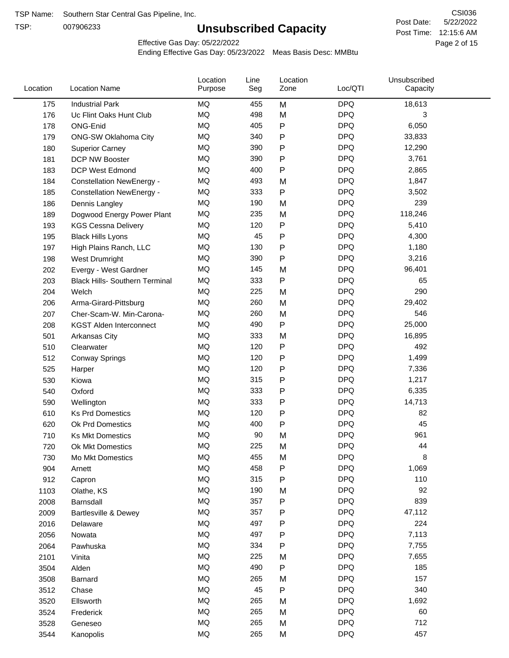TSP:

# **Unsubscribed Capacity**

5/22/2022 Page 2 of 15 Post Time: 12:15:6 AM CSI036 Post Date:

Effective Gas Day: 05/22/2022

| Location | <b>Location Name</b>                  | Location<br>Purpose | Line<br>Seg | Location<br>Zone | Loc/QTI    | Unsubscribed<br>Capacity |
|----------|---------------------------------------|---------------------|-------------|------------------|------------|--------------------------|
| 175      | <b>Industrial Park</b>                | <b>MQ</b>           | 455         | M                | <b>DPQ</b> | 18,613                   |
| 176      | Uc Flint Oaks Hunt Club               | MQ                  | 498         | M                | <b>DPQ</b> | 3                        |
| 178      | ONG-Enid                              | <b>MQ</b>           | 405         | ${\sf P}$        | <b>DPQ</b> | 6,050                    |
| 179      | <b>ONG-SW Oklahoma City</b>           | <b>MQ</b>           | 340         | $\mathsf{P}$     | <b>DPQ</b> | 33,833                   |
| 180      | <b>Superior Carney</b>                | <b>MQ</b>           | 390         | ${\sf P}$        | <b>DPQ</b> | 12,290                   |
| 181      | DCP NW Booster                        | <b>MQ</b>           | 390         | ${\sf P}$        | <b>DPQ</b> | 3,761                    |
| 183      | <b>DCP West Edmond</b>                | MQ                  | 400         | $\mathsf{P}$     | <b>DPQ</b> | 2,865                    |
| 184      | <b>Constellation NewEnergy -</b>      | MQ                  | 493         | M                | <b>DPQ</b> | 1,847                    |
| 185      | <b>Constellation NewEnergy -</b>      | <b>MQ</b>           | 333         | ${\sf P}$        | <b>DPQ</b> | 3,502                    |
| 186      | Dennis Langley                        | <b>MQ</b>           | 190         | M                | <b>DPQ</b> | 239                      |
| 189      | Dogwood Energy Power Plant            | <b>MQ</b>           | 235         | M                | <b>DPQ</b> | 118,246                  |
| 193      | <b>KGS Cessna Delivery</b>            | <b>MQ</b>           | 120         | $\sf P$          | <b>DPQ</b> | 5,410                    |
| 195      | <b>Black Hills Lyons</b>              | MQ                  | 45          | $\mathsf{P}$     | <b>DPQ</b> | 4,300                    |
| 197      | High Plains Ranch, LLC                | <b>MQ</b>           | 130         | ${\sf P}$        | <b>DPQ</b> | 1,180                    |
| 198      | West Drumright                        | <b>MQ</b>           | 390         | $\mathsf{P}$     | <b>DPQ</b> | 3,216                    |
| 202      | Evergy - West Gardner                 | <b>MQ</b>           | 145         | M                | <b>DPQ</b> | 96,401                   |
| 203      | <b>Black Hills- Southern Terminal</b> | <b>MQ</b>           | 333         | $\mathsf{P}$     | <b>DPQ</b> | 65                       |
| 204      | Welch                                 | <b>MQ</b>           | 225         | M                | <b>DPQ</b> | 290                      |
| 206      | Arma-Girard-Pittsburg                 | <b>MQ</b>           | 260         | M                | <b>DPQ</b> | 29,402                   |
| 207      | Cher-Scam-W. Min-Carona-              | MQ                  | 260         | M                | <b>DPQ</b> | 546                      |
| 208      | <b>KGST Alden Interconnect</b>        | MQ                  | 490         | ${\sf P}$        | <b>DPQ</b> | 25,000                   |
| 501      | Arkansas City                         | MQ                  | 333         | M                | <b>DPQ</b> | 16,895                   |
| 510      | Clearwater                            | <b>MQ</b>           | 120         | $\mathsf{P}$     | <b>DPQ</b> | 492                      |
| 512      | <b>Conway Springs</b>                 | <b>MQ</b>           | 120         | ${\sf P}$        | <b>DPQ</b> | 1,499                    |
| 525      | Harper                                | <b>MQ</b>           | 120         | $\mathsf{P}$     | <b>DPQ</b> | 7,336                    |
| 530      | Kiowa                                 | <b>MQ</b>           | 315         | $\mathsf{P}$     | <b>DPQ</b> | 1,217                    |
| 540      | Oxford                                | <b>MQ</b>           | 333         | $\mathsf{P}$     | <b>DPQ</b> | 6,335                    |
| 590      | Wellington                            | <b>MQ</b>           | 333         | ${\sf P}$        | <b>DPQ</b> | 14,713                   |
| 610      | <b>Ks Prd Domestics</b>               | MQ                  | 120         | ${\sf P}$        | <b>DPQ</b> | 82                       |
| 620      | Ok Prd Domestics                      | MQ                  | 400         | $\mathsf{P}$     | <b>DPQ</b> | 45                       |
| 710      | <b>Ks Mkt Domestics</b>               | MQ                  | 90          | M                | <b>DPQ</b> | 961                      |
| 720      | Ok Mkt Domestics                      | <b>MQ</b>           | 225         | M                | <b>DPQ</b> | 44                       |
| 730      | Mo Mkt Domestics                      | MQ                  | 455         | M                | <b>DPQ</b> | 8                        |
| 904      | Arnett                                | MQ                  | 458         | $\mathsf{P}$     | <b>DPQ</b> | 1,069                    |
| 912      | Capron                                | MQ                  | 315         | P                | <b>DPQ</b> | 110                      |
| 1103     | Olathe, KS                            | MQ                  | 190         | M                | <b>DPQ</b> | 92                       |
| 2008     | Barnsdall                             | MQ                  | 357         | P                | <b>DPQ</b> | 839                      |
| 2009     | <b>Bartlesville &amp; Dewey</b>       | MQ                  | 357         | P                | <b>DPQ</b> | 47,112                   |
| 2016     | Delaware                              | $\sf{MQ}$           | 497         | Ρ                | <b>DPQ</b> | 224                      |
| 2056     | Nowata                                | MQ                  | 497         | Ρ                | <b>DPQ</b> | 7,113                    |
| 2064     | Pawhuska                              | MQ                  | 334         | P                | <b>DPQ</b> | 7,755                    |
| 2101     | Vinita                                | MQ                  | 225         | M                | <b>DPQ</b> | 7,655                    |
| 3504     | Alden                                 | MQ                  | 490         | P                | <b>DPQ</b> | 185                      |
| 3508     | Barnard                               | MQ                  | 265         | M                | <b>DPQ</b> | 157                      |
| 3512     | Chase                                 | MQ                  | 45          | P                | <b>DPQ</b> | 340                      |
| 3520     | Ellsworth                             | MQ                  | 265         | M                | <b>DPQ</b> | 1,692                    |
| 3524     | Frederick                             | MQ                  | 265         | M                | <b>DPQ</b> | 60                       |
| 3528     | Geneseo                               | $\sf{MQ}$           | 265         | M                | <b>DPQ</b> | 712                      |
| 3544     | Kanopolis                             | $\sf{MQ}$           | 265         | M                | <b>DPQ</b> | 457                      |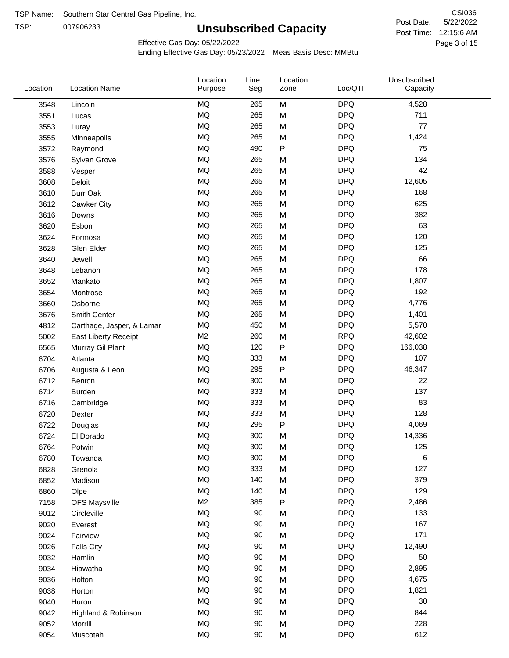TSP:

# **Unsubscribed Capacity**

5/22/2022 Page 3 of 15 Post Time: 12:15:6 AM CSI036 Post Date:

Unsubscribed

Effective Gas Day: 05/22/2022

Location

Ending Effective Gas Day: 05/23/2022 Meas Basis Desc: MMBtu

Line

Location

| Location | <b>Location Name</b>      | Purpose        | Seg | Zone         | Loc/QTI    | Capacity |  |
|----------|---------------------------|----------------|-----|--------------|------------|----------|--|
| 3548     | Lincoln                   | MQ             | 265 | M            | <b>DPQ</b> | 4,528    |  |
| 3551     | Lucas                     | <b>MQ</b>      | 265 | M            | <b>DPQ</b> | 711      |  |
| 3553     | Luray                     | <b>MQ</b>      | 265 | M            | <b>DPQ</b> | 77       |  |
| 3555     | Minneapolis               | <b>MQ</b>      | 265 | M            | <b>DPQ</b> | 1,424    |  |
| 3572     | Raymond                   | <b>MQ</b>      | 490 | P            | <b>DPQ</b> | 75       |  |
| 3576     | Sylvan Grove              | <b>MQ</b>      | 265 | M            | <b>DPQ</b> | 134      |  |
| 3588     | Vesper                    | <b>MQ</b>      | 265 | M            | <b>DPQ</b> | 42       |  |
| 3608     | Beloit                    | <b>MQ</b>      | 265 | M            | <b>DPQ</b> | 12,605   |  |
| 3610     | <b>Burr Oak</b>           | <b>MQ</b>      | 265 | M            | <b>DPQ</b> | 168      |  |
| 3612     | Cawker City               | <b>MQ</b>      | 265 | M            | <b>DPQ</b> | 625      |  |
| 3616     | Downs                     | <b>MQ</b>      | 265 | M            | <b>DPQ</b> | 382      |  |
| 3620     | Esbon                     | <b>MQ</b>      | 265 | M            | <b>DPQ</b> | 63       |  |
| 3624     | Formosa                   | <b>MQ</b>      | 265 | M            | <b>DPQ</b> | 120      |  |
| 3628     | Glen Elder                | <b>MQ</b>      | 265 | M            | <b>DPQ</b> | 125      |  |
| 3640     | Jewell                    | <b>MQ</b>      | 265 | M            | <b>DPQ</b> | 66       |  |
| 3648     | Lebanon                   | <b>MQ</b>      | 265 | M            | <b>DPQ</b> | 178      |  |
| 3652     | Mankato                   | <b>MQ</b>      | 265 | M            | <b>DPQ</b> | 1,807    |  |
| 3654     | Montrose                  | MQ             | 265 | M            | <b>DPQ</b> | 192      |  |
| 3660     | Osborne                   | <b>MQ</b>      | 265 | M            | <b>DPQ</b> | 4,776    |  |
| 3676     | Smith Center              | <b>MQ</b>      | 265 | M            | <b>DPQ</b> | 1,401    |  |
| 4812     | Carthage, Jasper, & Lamar | MQ             | 450 | M            | <b>DPQ</b> | 5,570    |  |
| 5002     | East Liberty Receipt      | M <sub>2</sub> | 260 | M            | <b>RPQ</b> | 42,602   |  |
| 6565     | Murray Gil Plant          | MQ             | 120 | $\mathsf{P}$ | <b>DPQ</b> | 166,038  |  |
| 6704     | Atlanta                   | <b>MQ</b>      | 333 | M            | <b>DPQ</b> | 107      |  |
| 6706     | Augusta & Leon            | <b>MQ</b>      | 295 | Ρ            | <b>DPQ</b> | 46,347   |  |
| 6712     | Benton                    | <b>MQ</b>      | 300 | M            | <b>DPQ</b> | 22       |  |
| 6714     | Burden                    | <b>MQ</b>      | 333 | M            | <b>DPQ</b> | 137      |  |
| 6716     | Cambridge                 | <b>MQ</b>      | 333 | M            | <b>DPQ</b> | 83       |  |
| 6720     | Dexter                    | <b>MQ</b>      | 333 | M            | <b>DPQ</b> | 128      |  |
| 6722     | Douglas                   | <b>MQ</b>      | 295 | P            | <b>DPQ</b> | 4,069    |  |
| 6724     | El Dorado                 | <b>MQ</b>      | 300 | M            | <b>DPQ</b> | 14,336   |  |
| 6764     | Potwin                    | <b>MQ</b>      | 300 | M            | <b>DPQ</b> | 125      |  |
| 6780     | Towanda                   | $\sf{MQ}$      | 300 | M            | <b>DPQ</b> | 6        |  |
| 6828     | Grenola                   | MQ             | 333 | M            | <b>DPQ</b> | 127      |  |
| 6852     | Madison                   | <b>MQ</b>      | 140 | M            | <b>DPQ</b> | 379      |  |
| 6860     | Olpe                      | <b>MQ</b>      | 140 | M            | <b>DPQ</b> | 129      |  |
| 7158     | <b>OFS Maysville</b>      | M <sub>2</sub> | 385 | P            | <b>RPQ</b> | 2,486    |  |
| 9012     | Circleville               | MQ             | 90  | M            | <b>DPQ</b> | 133      |  |
| 9020     | Everest                   | MQ             | 90  | M            | <b>DPQ</b> | 167      |  |
| 9024     | Fairview                  | <b>MQ</b>      | 90  | M            | <b>DPQ</b> | 171      |  |
| 9026     | <b>Falls City</b>         | MQ             | 90  | M            | <b>DPQ</b> | 12,490   |  |
| 9032     | Hamlin                    | MQ             | 90  | M            | <b>DPQ</b> | 50       |  |
| 9034     | Hiawatha                  | MQ             | 90  | M            | <b>DPQ</b> | 2,895    |  |
| 9036     | Holton                    | <b>MQ</b>      | 90  | M            | <b>DPQ</b> | 4,675    |  |
| 9038     | Horton                    | <b>MQ</b>      | 90  | M            | <b>DPQ</b> | 1,821    |  |
| 9040     | Huron                     | MQ             | 90  | M            | <b>DPQ</b> | 30       |  |
| 9042     | Highland & Robinson       | MQ             | 90  | M            | <b>DPQ</b> | 844      |  |
| 9052     | Morrill                   | $\sf{MQ}$      | 90  | M            | <b>DPQ</b> | 228      |  |
| 9054     | Muscotah                  | $\sf{MQ}$      | 90  | M            | <b>DPQ</b> | 612      |  |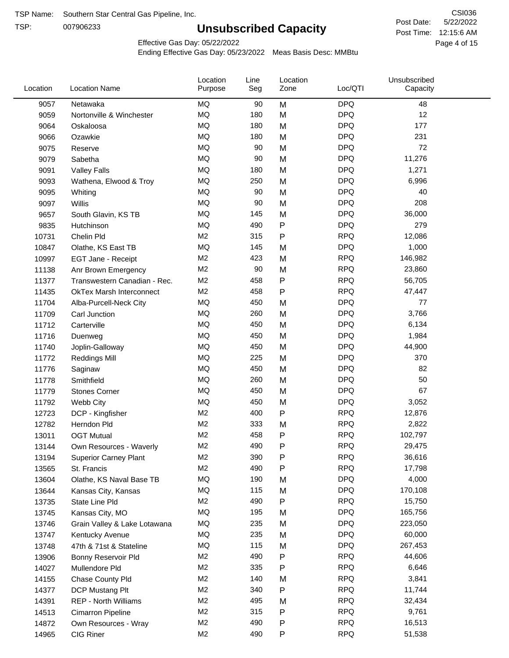TSP:

# **Unsubscribed Capacity**

5/22/2022 Page 4 of 15 Post Time: 12:15:6 AM CSI036 Post Date:

Effective Gas Day: 05/22/2022

| Location | <b>Location Name</b>            | Location<br>Purpose | Line<br>Seg | Location<br>Zone | Loc/QTI    | Unsubscribed<br>Capacity |  |
|----------|---------------------------------|---------------------|-------------|------------------|------------|--------------------------|--|
| 9057     | Netawaka                        | MQ                  | 90          | M                | <b>DPQ</b> | 48                       |  |
| 9059     | Nortonville & Winchester        | MQ                  | 180         | M                | <b>DPQ</b> | 12                       |  |
| 9064     | Oskaloosa                       | MQ                  | 180         | M                | <b>DPQ</b> | 177                      |  |
| 9066     | Ozawkie                         | <b>MQ</b>           | 180         | M                | <b>DPQ</b> | 231                      |  |
| 9075     | Reserve                         | MQ                  | 90          | M                | <b>DPQ</b> | 72                       |  |
| 9079     | Sabetha                         | MQ                  | 90          | M                | <b>DPQ</b> | 11,276                   |  |
| 9091     | <b>Valley Falls</b>             | MQ                  | 180         | M                | <b>DPQ</b> | 1,271                    |  |
| 9093     | Wathena, Elwood & Troy          | MQ                  | 250         | M                | <b>DPQ</b> | 6,996                    |  |
| 9095     | Whiting                         | MQ                  | 90          | M                | <b>DPQ</b> | 40                       |  |
| 9097     | Willis                          | <b>MQ</b>           | 90          | M                | <b>DPQ</b> | 208                      |  |
| 9657     | South Glavin, KS TB             | <b>MQ</b>           | 145         | M                | <b>DPQ</b> | 36,000                   |  |
| 9835     | Hutchinson                      | <b>MQ</b>           | 490         | P                | <b>DPQ</b> | 279                      |  |
| 10731    | Chelin Pld                      | M <sub>2</sub>      | 315         | $\mathsf{P}$     | <b>RPQ</b> | 12,086                   |  |
| 10847    | Olathe, KS East TB              | <b>MQ</b>           | 145         | M                | <b>DPQ</b> | 1,000                    |  |
| 10997    | EGT Jane - Receipt              | M <sub>2</sub>      | 423         | M                | <b>RPQ</b> | 146,982                  |  |
| 11138    | Anr Brown Emergency             | M <sub>2</sub>      | 90          | M                | <b>RPQ</b> | 23,860                   |  |
| 11377    | Transwestern Canadian - Rec.    | M <sub>2</sub>      | 458         | P                | <b>RPQ</b> | 56,705                   |  |
| 11435    | <b>OkTex Marsh Interconnect</b> | M <sub>2</sub>      | 458         | P                | <b>RPQ</b> | 47,447                   |  |
| 11704    | Alba-Purcell-Neck City          | MQ                  | 450         | M                | <b>DPQ</b> | 77                       |  |
| 11709    | Carl Junction                   | <b>MQ</b>           | 260         | M                | <b>DPQ</b> | 3,766                    |  |
| 11712    | Carterville                     | MQ                  | 450         | M                | <b>DPQ</b> | 6,134                    |  |
| 11716    | Duenweg                         | <b>MQ</b>           | 450         | M                | <b>DPQ</b> | 1,984                    |  |
| 11740    | Joplin-Galloway                 | <b>MQ</b>           | 450         | M                | <b>DPQ</b> | 44,900                   |  |
| 11772    | <b>Reddings Mill</b>            | <b>MQ</b>           | 225         | M                | <b>DPQ</b> | 370                      |  |
| 11776    | Saginaw                         | <b>MQ</b>           | 450         | M                | <b>DPQ</b> | 82                       |  |
| 11778    | Smithfield                      | MQ                  | 260         | M                | <b>DPQ</b> | 50                       |  |
| 11779    | <b>Stones Corner</b>            | <b>MQ</b>           | 450         | M                | <b>DPQ</b> | 67                       |  |
| 11792    | Webb City                       | <b>MQ</b>           | 450         | M                | <b>DPQ</b> | 3,052                    |  |
| 12723    | DCP - Kingfisher                | M <sub>2</sub>      | 400         | P                | <b>RPQ</b> | 12,876                   |  |
| 12782    | Herndon Pld                     | M <sub>2</sub>      | 333         | M                | <b>RPQ</b> | 2,822                    |  |
| 13011    | <b>OGT Mutual</b>               | M <sub>2</sub>      | 458         | P                | <b>RPQ</b> | 102,797                  |  |
| 13144    | Own Resources - Waverly         | M <sub>2</sub>      | 490         | P                | <b>RPQ</b> | 29,475                   |  |
| 13194    | <b>Superior Carney Plant</b>    | M <sub>2</sub>      | 390         | P                | <b>RPQ</b> | 36,616                   |  |
| 13565    | St. Francis                     | M <sub>2</sub>      | 490         | P                | <b>RPQ</b> | 17,798                   |  |
| 13604    | Olathe, KS Naval Base TB        | MQ                  | 190         | M                | <b>DPQ</b> | 4,000                    |  |
| 13644    | Kansas City, Kansas             | MQ                  | 115         | M                | <b>DPQ</b> | 170,108                  |  |
| 13735    | State Line Pld                  | M <sub>2</sub>      | 490         | P                | <b>RPQ</b> | 15,750                   |  |
| 13745    | Kansas City, MO                 | MQ                  | 195         | M                | <b>DPQ</b> | 165,756                  |  |
| 13746    | Grain Valley & Lake Lotawana    | MQ                  | 235         | M                | <b>DPQ</b> | 223,050                  |  |
| 13747    | Kentucky Avenue                 | MQ                  | 235         | M                | <b>DPQ</b> | 60,000                   |  |
| 13748    | 47th & 71st & Stateline         | MQ                  | 115         | M                | <b>DPQ</b> | 267,453                  |  |
| 13906    | Bonny Reservoir Pld             | M <sub>2</sub>      | 490         | P                | <b>RPQ</b> | 44,606                   |  |
| 14027    | Mullendore Pld                  | M <sub>2</sub>      | 335         | P                | <b>RPQ</b> | 6,646                    |  |
| 14155    | Chase County Pld                | M <sub>2</sub>      | 140         | M                | <b>RPQ</b> | 3,841                    |  |
| 14377    | DCP Mustang Plt                 | M <sub>2</sub>      | 340         | P                | <b>RPQ</b> | 11,744                   |  |
| 14391    | <b>REP - North Williams</b>     | M <sub>2</sub>      | 495         | M                | <b>RPQ</b> | 32,434                   |  |
| 14513    | Cimarron Pipeline               | M <sub>2</sub>      | 315         | P                | <b>RPQ</b> | 9,761                    |  |
| 14872    | Own Resources - Wray            | M <sub>2</sub>      | 490         | P                | <b>RPQ</b> | 16,513                   |  |
| 14965    | CIG Riner                       | M <sub>2</sub>      | 490         | P                | <b>RPQ</b> | 51,538                   |  |
|          |                                 |                     |             |                  |            |                          |  |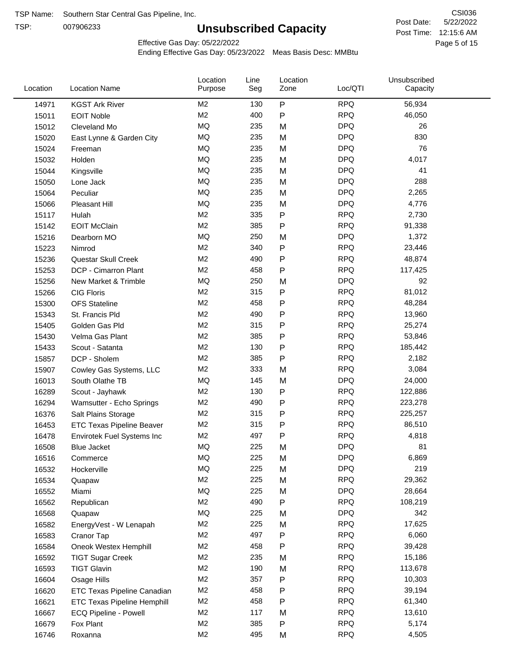TSP:

# **Unsubscribed Capacity**

5/22/2022 Page 5 of 15 Post Time: 12:15:6 AM CSI036 Post Date:

Effective Gas Day: 05/22/2022

| Location | <b>Location Name</b>               | Location<br>Purpose | Line<br>Seg | Location<br>Zone | Loc/QTI    | Unsubscribed<br>Capacity |  |
|----------|------------------------------------|---------------------|-------------|------------------|------------|--------------------------|--|
| 14971    | <b>KGST Ark River</b>              | M <sub>2</sub>      | 130         | P                | <b>RPQ</b> | 56,934                   |  |
| 15011    | <b>EOIT Noble</b>                  | M <sub>2</sub>      | 400         | P                | <b>RPQ</b> | 46,050                   |  |
| 15012    | Cleveland Mo                       | <b>MQ</b>           | 235         | M                | <b>DPQ</b> | 26                       |  |
| 15020    | East Lynne & Garden City           | <b>MQ</b>           | 235         | M                | <b>DPQ</b> | 830                      |  |
| 15024    | Freeman                            | <b>MQ</b>           | 235         | M                | <b>DPQ</b> | 76                       |  |
| 15032    | Holden                             | <b>MQ</b>           | 235         | M                | <b>DPQ</b> | 4,017                    |  |
| 15044    | Kingsville                         | <b>MQ</b>           | 235         | M                | <b>DPQ</b> | 41                       |  |
| 15050    | Lone Jack                          | <b>MQ</b>           | 235         | M                | <b>DPQ</b> | 288                      |  |
| 15064    | Peculiar                           | <b>MQ</b>           | 235         | M                | <b>DPQ</b> | 2,265                    |  |
| 15066    | Pleasant Hill                      | <b>MQ</b>           | 235         | M                | <b>DPQ</b> | 4,776                    |  |
| 15117    | Hulah                              | M <sub>2</sub>      | 335         | P                | <b>RPQ</b> | 2,730                    |  |
| 15142    | <b>EOIT McClain</b>                | M <sub>2</sub>      | 385         | P                | <b>RPQ</b> | 91,338                   |  |
| 15216    | Dearborn MO                        | MQ                  | 250         | M                | <b>DPQ</b> | 1,372                    |  |
| 15223    | Nimrod                             | M <sub>2</sub>      | 340         | P                | <b>RPQ</b> | 23,446                   |  |
| 15236    | Questar Skull Creek                | M <sub>2</sub>      | 490         | P                | <b>RPQ</b> | 48,874                   |  |
| 15253    | DCP - Cimarron Plant               | M <sub>2</sub>      | 458         | P                | <b>RPQ</b> | 117,425                  |  |
| 15256    | New Market & Trimble               | <b>MQ</b>           | 250         | M                | <b>DPQ</b> | 92                       |  |
| 15266    | <b>CIG Floris</b>                  | M <sub>2</sub>      | 315         | P                | <b>RPQ</b> | 81,012                   |  |
| 15300    | <b>OFS Stateline</b>               | M <sub>2</sub>      | 458         | P                | <b>RPQ</b> | 48,284                   |  |
| 15343    | St. Francis Pld                    | M <sub>2</sub>      | 490         | P                | <b>RPQ</b> | 13,960                   |  |
| 15405    | Golden Gas Pld                     | M <sub>2</sub>      | 315         | P                | <b>RPQ</b> | 25,274                   |  |
| 15430    | Velma Gas Plant                    | M <sub>2</sub>      | 385         | P                | <b>RPQ</b> | 53,846                   |  |
| 15433    | Scout - Satanta                    | M <sub>2</sub>      | 130         | P                | <b>RPQ</b> | 185,442                  |  |
| 15857    | DCP - Sholem                       | M <sub>2</sub>      | 385         | P                | <b>RPQ</b> | 2,182                    |  |
| 15907    | Cowley Gas Systems, LLC            | M <sub>2</sub>      | 333         | M                | <b>RPQ</b> | 3,084                    |  |
| 16013    | South Olathe TB                    | MQ                  | 145         | M                | <b>DPQ</b> | 24,000                   |  |
| 16289    | Scout - Jayhawk                    | M <sub>2</sub>      | 130         | P                | <b>RPQ</b> | 122,886                  |  |
| 16294    | Wamsutter - Echo Springs           | M <sub>2</sub>      | 490         | P                | <b>RPQ</b> | 223,278                  |  |
| 16376    | Salt Plains Storage                | M <sub>2</sub>      | 315         | P                | <b>RPQ</b> | 225,257                  |  |
| 16453    | <b>ETC Texas Pipeline Beaver</b>   | M <sub>2</sub>      | 315         | P                | <b>RPQ</b> | 86,510                   |  |
| 16478    | Envirotek Fuel Systems Inc         | M <sub>2</sub>      | 497         | P                | <b>RPQ</b> | 4,818                    |  |
| 16508    | Blue Jacket                        | <b>MQ</b>           | 225         | M                | <b>DPQ</b> | 81                       |  |
| 16516    | Commerce                           | MQ                  | 225         | M                | <b>DPQ</b> | 6,869                    |  |
| 16532    | Hockerville                        | <b>MQ</b>           | 225         | M                | <b>DPQ</b> | 219                      |  |
| 16534    | Quapaw                             | M <sub>2</sub>      | 225         | M                | <b>RPQ</b> | 29,362                   |  |
| 16552    | Miami                              | MQ                  | 225         | M                | <b>DPQ</b> | 28,664                   |  |
| 16562    | Republican                         | M <sub>2</sub>      | 490         | Ρ                | <b>RPQ</b> | 108,219                  |  |
| 16568    | Quapaw                             | MQ                  | 225         | M                | <b>DPQ</b> | 342                      |  |
| 16582    | EnergyVest - W Lenapah             | M <sub>2</sub>      | 225         | M                | <b>RPQ</b> | 17,625                   |  |
| 16583    | Cranor Tap                         | M <sub>2</sub>      | 497         | P                | <b>RPQ</b> | 6,060                    |  |
| 16584    | Oneok Westex Hemphill              | M2                  | 458         | Ρ                | <b>RPQ</b> | 39,428                   |  |
| 16592    | <b>TIGT Sugar Creek</b>            | M <sub>2</sub>      | 235         | M                | <b>RPQ</b> | 15,186                   |  |
| 16593    | <b>TIGT Glavin</b>                 | M <sub>2</sub>      | 190         | M                | <b>RPQ</b> | 113,678                  |  |
| 16604    | Osage Hills                        | M <sub>2</sub>      | 357         | Ρ                | <b>RPQ</b> | 10,303                   |  |
| 16620    | <b>ETC Texas Pipeline Canadian</b> | M <sub>2</sub>      | 458         | P                | <b>RPQ</b> | 39,194                   |  |
| 16621    | <b>ETC Texas Pipeline Hemphill</b> | M <sub>2</sub>      | 458         | Ρ                | <b>RPQ</b> | 61,340                   |  |
| 16667    | ECQ Pipeline - Powell              | M <sub>2</sub>      | 117         | M                | <b>RPQ</b> | 13,610                   |  |
| 16679    | Fox Plant                          | M <sub>2</sub>      | 385         | Ρ                | <b>RPQ</b> | 5,174                    |  |
| 16746    | Roxanna                            | M <sub>2</sub>      | 495         | M                | <b>RPQ</b> | 4,505                    |  |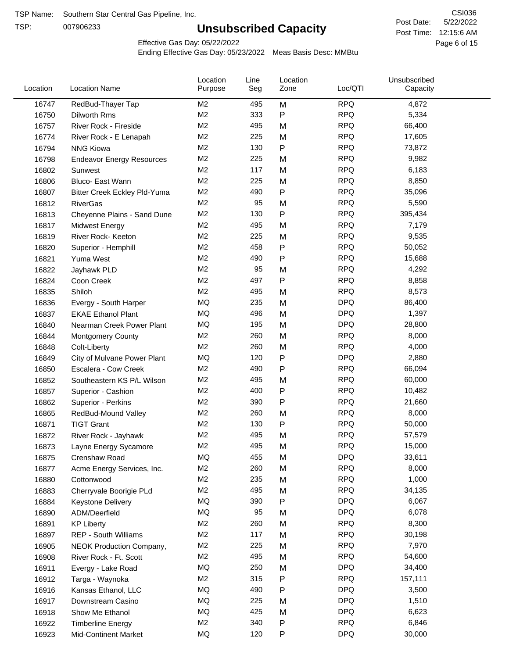TSP:

# **Unsubscribed Capacity**

5/22/2022 Page 6 of 15 Post Time: 12:15:6 AM CSI036 Post Date:

Effective Gas Day: 05/22/2022

| Location | <b>Location Name</b>             | Location<br>Purpose | Line<br>Seg | Location<br>Zone | Loc/QTI    | Unsubscribed<br>Capacity |  |
|----------|----------------------------------|---------------------|-------------|------------------|------------|--------------------------|--|
| 16747    | RedBud-Thayer Tap                | M2                  | 495         | M                | <b>RPQ</b> | 4,872                    |  |
| 16750    | Dilworth Rms                     | M2                  | 333         | P                | <b>RPQ</b> | 5,334                    |  |
| 16757    | River Rock - Fireside            | M <sub>2</sub>      | 495         | M                | <b>RPQ</b> | 66,400                   |  |
| 16774    | River Rock - E Lenapah           | M <sub>2</sub>      | 225         | M                | <b>RPQ</b> | 17,605                   |  |
| 16794    | <b>NNG Kiowa</b>                 | M <sub>2</sub>      | 130         | P                | <b>RPQ</b> | 73,872                   |  |
| 16798    | <b>Endeavor Energy Resources</b> | M <sub>2</sub>      | 225         | M                | <b>RPQ</b> | 9,982                    |  |
| 16802    | Sunwest                          | M2                  | 117         | M                | <b>RPQ</b> | 6,183                    |  |
| 16806    | Bluco- East Wann                 | M <sub>2</sub>      | 225         | M                | <b>RPQ</b> | 8,850                    |  |
| 16807    | Bitter Creek Eckley Pld-Yuma     | M <sub>2</sub>      | 490         | P                | <b>RPQ</b> | 35,096                   |  |
| 16812    | <b>RiverGas</b>                  | M <sub>2</sub>      | 95          | M                | <b>RPQ</b> | 5,590                    |  |
| 16813    | Cheyenne Plains - Sand Dune      | M <sub>2</sub>      | 130         | P                | <b>RPQ</b> | 395,434                  |  |
| 16817    | <b>Midwest Energy</b>            | M2                  | 495         | M                | <b>RPQ</b> | 7,179                    |  |
| 16819    | River Rock- Keeton               | M <sub>2</sub>      | 225         | M                | <b>RPQ</b> | 9,535                    |  |
| 16820    | Superior - Hemphill              | M <sub>2</sub>      | 458         | Ρ                | <b>RPQ</b> | 50,052                   |  |
| 16821    | Yuma West                        | M <sub>2</sub>      | 490         | P                | <b>RPQ</b> | 15,688                   |  |
| 16822    | Jayhawk PLD                      | M <sub>2</sub>      | 95          | M                | <b>RPQ</b> | 4,292                    |  |
| 16824    | Coon Creek                       | M2                  | 497         | P                | <b>RPQ</b> | 8,858                    |  |
| 16835    | Shiloh                           | M2                  | 495         | M                | <b>RPQ</b> | 8,573                    |  |
| 16836    | Evergy - South Harper            | MQ                  | 235         | M                | <b>DPQ</b> | 86,400                   |  |
| 16837    | <b>EKAE Ethanol Plant</b>        | MQ                  | 496         | M                | <b>DPQ</b> | 1,397                    |  |
| 16840    | Nearman Creek Power Plant        | MQ                  | 195         | M                | <b>DPQ</b> | 28,800                   |  |
| 16844    | <b>Montgomery County</b>         | M2                  | 260         | M                | <b>RPQ</b> | 8,000                    |  |
| 16848    | Colt-Liberty                     | M <sub>2</sub>      | 260         | M                | <b>RPQ</b> | 4,000                    |  |
| 16849    | City of Mulvane Power Plant      | <b>MQ</b>           | 120         | P                | <b>DPQ</b> | 2,880                    |  |
| 16850    | Escalera - Cow Creek             | M <sub>2</sub>      | 490         | P                | <b>RPQ</b> | 66,094                   |  |
| 16852    | Southeastern KS P/L Wilson       | M2                  | 495         | M                | <b>RPQ</b> | 60,000                   |  |
| 16857    | Superior - Cashion               | M2                  | 400         | P                | <b>RPQ</b> | 10,482                   |  |
| 16862    | Superior - Perkins               | M2                  | 390         | P                | <b>RPQ</b> | 21,660                   |  |
| 16865    | RedBud-Mound Valley              | M2                  | 260         | M                | <b>RPQ</b> | 8,000                    |  |
| 16871    | <b>TIGT Grant</b>                | M <sub>2</sub>      | 130         | Ρ                | <b>RPQ</b> | 50,000                   |  |
| 16872    | River Rock - Jayhawk             | M <sub>2</sub>      | 495         | M                | <b>RPQ</b> | 57,579                   |  |
| 16873    | Layne Energy Sycamore            | M <sub>2</sub>      | 495         | M                | <b>RPQ</b> | 15,000                   |  |
| 16875    | Crenshaw Road                    | MQ                  | 455         | M                | <b>DPQ</b> | 33,611                   |  |
| 16877    | Acme Energy Services, Inc.       | M <sub>2</sub>      | 260         | M                | <b>RPQ</b> | 8,000                    |  |
| 16880    | Cottonwood                       | M <sub>2</sub>      | 235         | M                | <b>RPQ</b> | 1,000                    |  |
| 16883    | Cherryvale Boorigie PLd          | M <sub>2</sub>      | 495         | M                | <b>RPQ</b> | 34,135                   |  |
| 16884    | <b>Keystone Delivery</b>         | MQ                  | 390         | P                | <b>DPQ</b> | 6,067                    |  |
| 16890    | ADM/Deerfield                    | MQ                  | 95          | M                | <b>DPQ</b> | 6,078                    |  |
| 16891    | <b>KP Liberty</b>                | M <sub>2</sub>      | 260         | M                | <b>RPQ</b> | 8,300                    |  |
| 16897    | REP - South Williams             | M <sub>2</sub>      | 117         | M                | <b>RPQ</b> | 30,198                   |  |
| 16905    | NEOK Production Company,         | M <sub>2</sub>      | 225         | M                | <b>RPQ</b> | 7,970                    |  |
| 16908    | River Rock - Ft. Scott           | M <sub>2</sub>      | 495         | M                | <b>RPQ</b> | 54,600                   |  |
| 16911    | Evergy - Lake Road               | MQ                  | 250         | M                | <b>DPQ</b> | 34,400                   |  |
| 16912    | Targa - Waynoka                  | M <sub>2</sub>      | 315         | P                | <b>RPQ</b> | 157,111                  |  |
| 16916    | Kansas Ethanol, LLC              | MQ                  | 490         | P                | <b>DPQ</b> | 3,500                    |  |
| 16917    | Downstream Casino                | MQ                  | 225         | M                | <b>DPQ</b> | 1,510                    |  |
| 16918    | Show Me Ethanol                  | MQ                  | 425         | M                | <b>DPQ</b> | 6,623                    |  |
| 16922    | <b>Timberline Energy</b>         | M <sub>2</sub>      | 340         | P                | <b>RPQ</b> | 6,846                    |  |
| 16923    | <b>Mid-Continent Market</b>      | MQ                  | 120         | P                | <b>DPQ</b> | 30,000                   |  |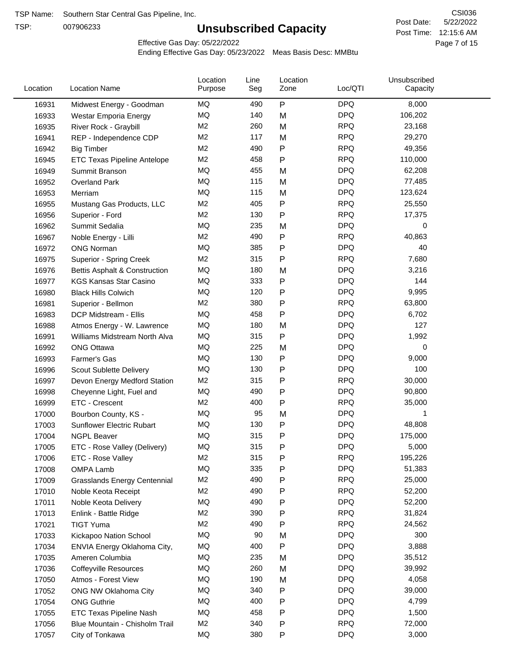TSP:

# **Unsubscribed Capacity**

5/22/2022 Page 7 of 15 Post Time: 12:15:6 AM CSI036 Post Date:

Effective Gas Day: 05/22/2022

| Location | <b>Location Name</b>                     | Location<br>Purpose | Line<br>Seg | Location<br>Zone | Loc/QTI    | Unsubscribed<br>Capacity |  |
|----------|------------------------------------------|---------------------|-------------|------------------|------------|--------------------------|--|
| 16931    | Midwest Energy - Goodman                 | MQ                  | 490         | $\mathsf{P}$     | <b>DPQ</b> | 8,000                    |  |
| 16933    | Westar Emporia Energy                    | MQ                  | 140         | M                | <b>DPQ</b> | 106,202                  |  |
| 16935    | River Rock - Graybill                    | M <sub>2</sub>      | 260         | M                | <b>RPQ</b> | 23,168                   |  |
| 16941    | REP - Independence CDP                   | M <sub>2</sub>      | 117         | M                | <b>RPQ</b> | 29,270                   |  |
| 16942    | <b>Big Timber</b>                        | M <sub>2</sub>      | 490         | P                | <b>RPQ</b> | 49,356                   |  |
| 16945    | <b>ETC Texas Pipeline Antelope</b>       | M <sub>2</sub>      | 458         | P                | <b>RPQ</b> | 110,000                  |  |
| 16949    | Summit Branson                           | <b>MQ</b>           | 455         | M                | <b>DPQ</b> | 62,208                   |  |
| 16952    | <b>Overland Park</b>                     | MQ                  | 115         | M                | <b>DPQ</b> | 77,485                   |  |
| 16953    | Merriam                                  | MQ                  | 115         | M                | <b>DPQ</b> | 123,624                  |  |
| 16955    | Mustang Gas Products, LLC                | M <sub>2</sub>      | 405         | P                | <b>RPQ</b> | 25,550                   |  |
| 16956    | Superior - Ford                          | M <sub>2</sub>      | 130         | $\mathsf{P}$     | <b>RPQ</b> | 17,375                   |  |
| 16962    | Summit Sedalia                           | MQ                  | 235         | M                | <b>DPQ</b> | 0                        |  |
| 16967    | Noble Energy - Lilli                     | M <sub>2</sub>      | 490         | P                | <b>RPQ</b> | 40,863                   |  |
| 16972    | <b>ONG Norman</b>                        | <b>MQ</b>           | 385         | Ρ                | <b>DPQ</b> | 40                       |  |
| 16975    | Superior - Spring Creek                  | M <sub>2</sub>      | 315         | Ρ                | <b>RPQ</b> | 7,680                    |  |
| 16976    | <b>Bettis Asphalt &amp; Construction</b> | $\sf{MQ}$           | 180         | M                | <b>DPQ</b> | 3,216                    |  |
| 16977    | <b>KGS Kansas Star Casino</b>            | MQ                  | 333         | Ρ                | <b>DPQ</b> | 144                      |  |
| 16980    | <b>Black Hills Colwich</b>               | MQ                  | 120         | Ρ                | <b>DPQ</b> | 9,995                    |  |
| 16981    | Superior - Bellmon                       | M <sub>2</sub>      | 380         | Ρ                | <b>RPQ</b> | 63,800                   |  |
| 16983    | DCP Midstream - Ellis                    | MQ                  | 458         | Ρ                | <b>DPQ</b> | 6,702                    |  |
| 16988    | Atmos Energy - W. Lawrence               | MQ                  | 180         | M                | <b>DPQ</b> | 127                      |  |
| 16991    | Williams Midstream North Alva            | MQ                  | 315         | Ρ                | <b>DPQ</b> | 1,992                    |  |
| 16992    | <b>ONG Ottawa</b>                        | MQ                  | 225         | M                | <b>DPQ</b> | 0                        |  |
| 16993    | Farmer's Gas                             | MQ                  | 130         | Ρ                | <b>DPQ</b> | 9,000                    |  |
| 16996    | Scout Sublette Delivery                  | MQ                  | 130         | Ρ                | <b>DPQ</b> | 100                      |  |
| 16997    | Devon Energy Medford Station             | M <sub>2</sub>      | 315         | Ρ                | <b>RPQ</b> | 30,000                   |  |
| 16998    | Cheyenne Light, Fuel and                 | MQ                  | 490         | Ρ                | <b>DPQ</b> | 90,800                   |  |
| 16999    | ETC - Crescent                           | M <sub>2</sub>      | 400         | Ρ                | <b>RPQ</b> | 35,000                   |  |
| 17000    | Bourbon County, KS -                     | MQ                  | 95          | M                | <b>DPQ</b> | 1                        |  |
| 17003    | Sunflower Electric Rubart                | MQ                  | 130         | P                | <b>DPQ</b> | 48,808                   |  |
| 17004    | <b>NGPL Beaver</b>                       | MQ                  | 315         | Ρ                | <b>DPQ</b> | 175,000                  |  |
| 17005    | ETC - Rose Valley (Delivery)             | MQ                  | 315         | P                | <b>DPQ</b> | 5,000                    |  |
| 17006    | ETC - Rose Valley                        | M <sub>2</sub>      | 315         | Ρ                | <b>RPQ</b> | 195,226                  |  |
| 17008    | OMPA Lamb                                | MQ                  | 335         | P                | <b>DPQ</b> | 51,383                   |  |
| 17009    | <b>Grasslands Energy Centennial</b>      | M <sub>2</sub>      | 490         | Ρ                | <b>RPQ</b> | 25,000                   |  |
| 17010    | Noble Keota Receipt                      | M <sub>2</sub>      | 490         | Ρ                | <b>RPQ</b> | 52,200                   |  |
| 17011    | Noble Keota Delivery                     | MQ                  | 490         | Ρ                | <b>DPQ</b> | 52,200                   |  |
| 17013    | Enlink - Battle Ridge                    | M <sub>2</sub>      | 390         | Ρ                | <b>RPQ</b> | 31,824                   |  |
| 17021    | <b>TIGT Yuma</b>                         | M <sub>2</sub>      | 490         | P                | <b>RPQ</b> | 24,562                   |  |
| 17033    | Kickapoo Nation School                   | MQ                  | 90          | M                | <b>DPQ</b> | 300                      |  |
| 17034    | ENVIA Energy Oklahoma City,              | MQ                  | 400         | P                | <b>DPQ</b> | 3,888                    |  |
| 17035    | Ameren Columbia                          | MQ                  | 235         | M                | <b>DPQ</b> | 35,512                   |  |
| 17036    | <b>Coffeyville Resources</b>             | MQ                  | 260         | M                | <b>DPQ</b> | 39,992                   |  |
| 17050    | Atmos - Forest View                      | MQ                  | 190         | M                | <b>DPQ</b> | 4,058                    |  |
| 17052    | ONG NW Oklahoma City                     | MQ                  | 340         | Ρ                | <b>DPQ</b> | 39,000                   |  |
| 17054    | <b>ONG Guthrie</b>                       | MQ                  | 400         | Ρ                | <b>DPQ</b> | 4,799                    |  |
| 17055    | ETC Texas Pipeline Nash                  | MQ                  | 458         | Ρ                | <b>DPQ</b> | 1,500                    |  |
| 17056    | Blue Mountain - Chisholm Trail           | M <sub>2</sub>      | 340         | P                | <b>RPQ</b> | 72,000                   |  |
| 17057    | City of Tonkawa                          | MQ                  | 380         | P                | <b>DPQ</b> | 3,000                    |  |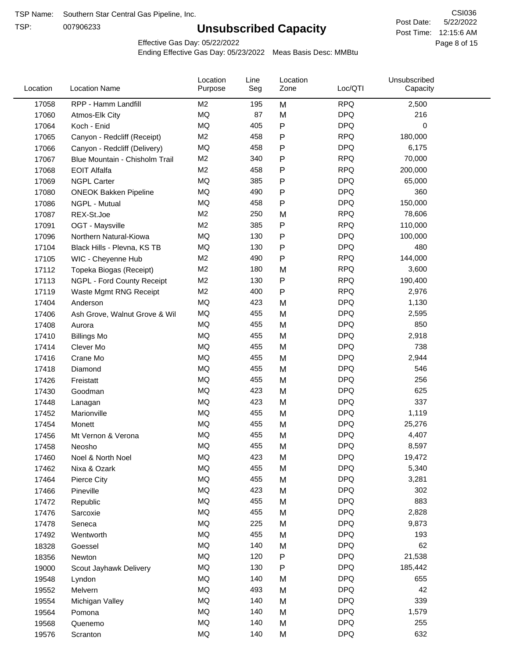TSP:

# **Unsubscribed Capacity**

5/22/2022 Page 8 of 15 Post Time: 12:15:6 AM CSI036 Post Date:

Effective Gas Day: 05/22/2022

| 17058<br>RPP - Hamm Landfill<br>M2<br>M<br><b>RPQ</b><br>2,500<br>195<br>MQ<br>87<br><b>DPQ</b><br>216<br>17060<br>M<br>Atmos-Elk City<br>P<br>MQ<br><b>DPQ</b><br>0<br>17064<br>405<br>Koch - Enid<br>M <sub>2</sub><br>458<br><b>RPQ</b><br>180,000<br>Ρ<br>17065<br>Canyon - Redcliff (Receipt)<br><b>MQ</b><br><b>DPQ</b><br>458<br>Ρ<br>6,175<br>17066<br>Canyon - Redcliff (Delivery)<br>M <sub>2</sub><br><b>RPQ</b><br>340<br>70,000<br>Ρ<br>17067<br>Blue Mountain - Chisholm Trail<br>M <sub>2</sub><br><b>RPQ</b><br>458<br>Ρ<br>200,000<br>17068<br><b>EOIT Alfalfa</b><br><b>MQ</b><br><b>DPQ</b><br>385<br>65,000<br><b>NGPL Carter</b><br>Ρ<br>17069<br>MQ<br>490<br><b>DPQ</b><br>360<br>Ρ<br>17080<br><b>ONEOK Bakken Pipeline</b><br><b>DPQ</b><br>MQ<br>458<br>P<br>150,000<br>17086<br>NGPL - Mutual<br>M <sub>2</sub><br><b>RPQ</b><br>250<br>78,606<br>17087<br>REX-St.Joe<br>M<br>M2<br>Ρ<br><b>RPQ</b><br>110,000<br>385<br>17091<br>OGT - Maysville<br><b>MQ</b><br><b>DPQ</b><br>130<br>100,000<br>17096<br>Ρ<br>Northern Natural-Kiowa<br><b>MQ</b><br><b>DPQ</b><br>130<br>Ρ<br>480<br>17104<br>Black Hills - Plevna, KS TB<br>M <sub>2</sub><br><b>RPQ</b><br>490<br>P<br>144,000<br>17105<br>WIC - Cheyenne Hub<br><b>RPQ</b><br>M <sub>2</sub><br>M<br>3,600<br>180<br>17112<br>Topeka Biogas (Receipt)<br>M <sub>2</sub><br>$\mathsf{P}$<br><b>RPQ</b><br>190,400<br>17113<br>130<br>NGPL - Ford County Receipt<br>M2<br>400<br>P<br><b>RPQ</b><br>17119<br>2,976<br>Waste Mgmt RNG Receipt<br><b>MQ</b><br><b>DPQ</b><br>423<br>1,130<br>17404<br>Anderson<br>M<br>MQ<br>455<br><b>DPQ</b><br>M<br>2,595<br>17406<br>Ash Grove, Walnut Grove & Wil<br>850<br>MQ<br>455<br><b>DPQ</b><br>M<br>17408<br>Aurora<br>MQ<br><b>DPQ</b><br>455<br>M<br>2,918<br>17410<br><b>Billings Mo</b><br><b>DPQ</b><br>MQ<br>455<br>M<br>738<br>17414<br>Clever Mo<br><b>MQ</b><br><b>DPQ</b><br>455<br>2,944<br>M<br>17416<br>Crane Mo<br>MQ<br>455<br>M<br><b>DPQ</b><br>546<br>17418<br>Diamond<br>MQ<br>455<br><b>DPQ</b><br>256<br>M<br>17426<br>Freistatt<br>MQ<br>423<br>M<br><b>DPQ</b><br>625<br>17430<br>Goodman<br><b>MQ</b><br>423<br><b>DPQ</b><br>337<br>M<br>17448<br>Lanagan<br><b>MQ</b><br><b>DPQ</b><br>455<br>M<br>1,119<br>17452<br>Marionville<br>MQ<br>455<br><b>DPQ</b><br>M<br>25,276<br>17454<br>Monett<br><b>MQ</b><br><b>DPQ</b><br>455<br>M<br>4,407<br>17456<br>Mt Vernon & Verona<br>MQ<br><b>DPQ</b><br>455<br>8,597<br>17458<br>M<br>Neosho<br>MQ<br><b>DPQ</b><br>423<br>M<br>19,472<br>17460<br>Noel & North Noel<br>MQ<br>455<br><b>DPQ</b><br>5,340<br>M<br>17462<br>Nixa & Ozark<br>MQ<br>455<br>M<br><b>DPQ</b><br>3,281<br>17464<br>Pierce City<br>MQ<br>423<br><b>DPQ</b><br>302<br>M<br>17466<br>Pineville<br>MQ<br><b>DPQ</b><br>883<br>455<br>17472<br>M<br>Republic<br>MQ<br><b>DPQ</b><br>455<br>M<br>2,828<br>17476<br>Sarcoxie<br>MQ<br>225<br><b>DPQ</b><br>9,873<br>M<br>17478<br>Seneca<br>MQ<br>455<br><b>DPQ</b><br>193<br>M<br>17492<br>Wentworth<br>62<br>MQ<br>140<br><b>DPQ</b><br>M<br>18328<br>Goessel<br>MQ<br>Ρ<br><b>DPQ</b><br>21,538<br>18356<br>120<br>Newton<br>$\sf{MQ}$<br><b>DPQ</b><br>130<br>185,442<br>19000<br>Ρ<br>Scout Jayhawk Delivery<br>MQ<br><b>DPQ</b><br>655<br>140<br>M<br>19548<br>Lyndon<br><b>DPQ</b><br>42<br>MQ<br>493<br>M<br>19552<br>Melvern<br>339<br>MQ<br>140<br><b>DPQ</b><br>19554<br>M<br>Michigan Valley<br>MQ<br>140<br><b>DPQ</b><br>1,579<br>19564<br>M<br>Pomona<br>MQ<br>140<br>M<br><b>DPQ</b><br>255<br>19568<br>Quenemo<br>$\sf{MQ}$<br>632<br><b>DPQ</b><br>140<br>M<br>19576<br>Scranton | Location | <b>Location Name</b> | Location<br>Purpose | Line<br>Seg | Location<br>Zone | Loc/QTI | Unsubscribed<br>Capacity |  |
|----------------------------------------------------------------------------------------------------------------------------------------------------------------------------------------------------------------------------------------------------------------------------------------------------------------------------------------------------------------------------------------------------------------------------------------------------------------------------------------------------------------------------------------------------------------------------------------------------------------------------------------------------------------------------------------------------------------------------------------------------------------------------------------------------------------------------------------------------------------------------------------------------------------------------------------------------------------------------------------------------------------------------------------------------------------------------------------------------------------------------------------------------------------------------------------------------------------------------------------------------------------------------------------------------------------------------------------------------------------------------------------------------------------------------------------------------------------------------------------------------------------------------------------------------------------------------------------------------------------------------------------------------------------------------------------------------------------------------------------------------------------------------------------------------------------------------------------------------------------------------------------------------------------------------------------------------------------------------------------------------------------------------------------------------------------------------------------------------------------------------------------------------------------------------------------------------------------------------------------------------------------------------------------------------------------------------------------------------------------------------------------------------------------------------------------------------------------------------------------------------------------------------------------------------------------------------------------------------------------------------------------------------------------------------------------------------------------------------------------------------------------------------------------------------------------------------------------------------------------------------------------------------------------------------------------------------------------------------------------------------------------------------------------------------------------------------------------------------------------------------------------------------------------------------------------------------------------------------------------------------------------------------------------------------------------------------------------------------------------------------------------------------------------------------------------------------------------------------------------------------------------------------------------------------------------------------------------------------------------------|----------|----------------------|---------------------|-------------|------------------|---------|--------------------------|--|
|                                                                                                                                                                                                                                                                                                                                                                                                                                                                                                                                                                                                                                                                                                                                                                                                                                                                                                                                                                                                                                                                                                                                                                                                                                                                                                                                                                                                                                                                                                                                                                                                                                                                                                                                                                                                                                                                                                                                                                                                                                                                                                                                                                                                                                                                                                                                                                                                                                                                                                                                                                                                                                                                                                                                                                                                                                                                                                                                                                                                                                                                                                                                                                                                                                                                                                                                                                                                                                                                                                                                                                                                                      |          |                      |                     |             |                  |         |                          |  |
|                                                                                                                                                                                                                                                                                                                                                                                                                                                                                                                                                                                                                                                                                                                                                                                                                                                                                                                                                                                                                                                                                                                                                                                                                                                                                                                                                                                                                                                                                                                                                                                                                                                                                                                                                                                                                                                                                                                                                                                                                                                                                                                                                                                                                                                                                                                                                                                                                                                                                                                                                                                                                                                                                                                                                                                                                                                                                                                                                                                                                                                                                                                                                                                                                                                                                                                                                                                                                                                                                                                                                                                                                      |          |                      |                     |             |                  |         |                          |  |
|                                                                                                                                                                                                                                                                                                                                                                                                                                                                                                                                                                                                                                                                                                                                                                                                                                                                                                                                                                                                                                                                                                                                                                                                                                                                                                                                                                                                                                                                                                                                                                                                                                                                                                                                                                                                                                                                                                                                                                                                                                                                                                                                                                                                                                                                                                                                                                                                                                                                                                                                                                                                                                                                                                                                                                                                                                                                                                                                                                                                                                                                                                                                                                                                                                                                                                                                                                                                                                                                                                                                                                                                                      |          |                      |                     |             |                  |         |                          |  |
|                                                                                                                                                                                                                                                                                                                                                                                                                                                                                                                                                                                                                                                                                                                                                                                                                                                                                                                                                                                                                                                                                                                                                                                                                                                                                                                                                                                                                                                                                                                                                                                                                                                                                                                                                                                                                                                                                                                                                                                                                                                                                                                                                                                                                                                                                                                                                                                                                                                                                                                                                                                                                                                                                                                                                                                                                                                                                                                                                                                                                                                                                                                                                                                                                                                                                                                                                                                                                                                                                                                                                                                                                      |          |                      |                     |             |                  |         |                          |  |
|                                                                                                                                                                                                                                                                                                                                                                                                                                                                                                                                                                                                                                                                                                                                                                                                                                                                                                                                                                                                                                                                                                                                                                                                                                                                                                                                                                                                                                                                                                                                                                                                                                                                                                                                                                                                                                                                                                                                                                                                                                                                                                                                                                                                                                                                                                                                                                                                                                                                                                                                                                                                                                                                                                                                                                                                                                                                                                                                                                                                                                                                                                                                                                                                                                                                                                                                                                                                                                                                                                                                                                                                                      |          |                      |                     |             |                  |         |                          |  |
|                                                                                                                                                                                                                                                                                                                                                                                                                                                                                                                                                                                                                                                                                                                                                                                                                                                                                                                                                                                                                                                                                                                                                                                                                                                                                                                                                                                                                                                                                                                                                                                                                                                                                                                                                                                                                                                                                                                                                                                                                                                                                                                                                                                                                                                                                                                                                                                                                                                                                                                                                                                                                                                                                                                                                                                                                                                                                                                                                                                                                                                                                                                                                                                                                                                                                                                                                                                                                                                                                                                                                                                                                      |          |                      |                     |             |                  |         |                          |  |
|                                                                                                                                                                                                                                                                                                                                                                                                                                                                                                                                                                                                                                                                                                                                                                                                                                                                                                                                                                                                                                                                                                                                                                                                                                                                                                                                                                                                                                                                                                                                                                                                                                                                                                                                                                                                                                                                                                                                                                                                                                                                                                                                                                                                                                                                                                                                                                                                                                                                                                                                                                                                                                                                                                                                                                                                                                                                                                                                                                                                                                                                                                                                                                                                                                                                                                                                                                                                                                                                                                                                                                                                                      |          |                      |                     |             |                  |         |                          |  |
|                                                                                                                                                                                                                                                                                                                                                                                                                                                                                                                                                                                                                                                                                                                                                                                                                                                                                                                                                                                                                                                                                                                                                                                                                                                                                                                                                                                                                                                                                                                                                                                                                                                                                                                                                                                                                                                                                                                                                                                                                                                                                                                                                                                                                                                                                                                                                                                                                                                                                                                                                                                                                                                                                                                                                                                                                                                                                                                                                                                                                                                                                                                                                                                                                                                                                                                                                                                                                                                                                                                                                                                                                      |          |                      |                     |             |                  |         |                          |  |
|                                                                                                                                                                                                                                                                                                                                                                                                                                                                                                                                                                                                                                                                                                                                                                                                                                                                                                                                                                                                                                                                                                                                                                                                                                                                                                                                                                                                                                                                                                                                                                                                                                                                                                                                                                                                                                                                                                                                                                                                                                                                                                                                                                                                                                                                                                                                                                                                                                                                                                                                                                                                                                                                                                                                                                                                                                                                                                                                                                                                                                                                                                                                                                                                                                                                                                                                                                                                                                                                                                                                                                                                                      |          |                      |                     |             |                  |         |                          |  |
|                                                                                                                                                                                                                                                                                                                                                                                                                                                                                                                                                                                                                                                                                                                                                                                                                                                                                                                                                                                                                                                                                                                                                                                                                                                                                                                                                                                                                                                                                                                                                                                                                                                                                                                                                                                                                                                                                                                                                                                                                                                                                                                                                                                                                                                                                                                                                                                                                                                                                                                                                                                                                                                                                                                                                                                                                                                                                                                                                                                                                                                                                                                                                                                                                                                                                                                                                                                                                                                                                                                                                                                                                      |          |                      |                     |             |                  |         |                          |  |
|                                                                                                                                                                                                                                                                                                                                                                                                                                                                                                                                                                                                                                                                                                                                                                                                                                                                                                                                                                                                                                                                                                                                                                                                                                                                                                                                                                                                                                                                                                                                                                                                                                                                                                                                                                                                                                                                                                                                                                                                                                                                                                                                                                                                                                                                                                                                                                                                                                                                                                                                                                                                                                                                                                                                                                                                                                                                                                                                                                                                                                                                                                                                                                                                                                                                                                                                                                                                                                                                                                                                                                                                                      |          |                      |                     |             |                  |         |                          |  |
|                                                                                                                                                                                                                                                                                                                                                                                                                                                                                                                                                                                                                                                                                                                                                                                                                                                                                                                                                                                                                                                                                                                                                                                                                                                                                                                                                                                                                                                                                                                                                                                                                                                                                                                                                                                                                                                                                                                                                                                                                                                                                                                                                                                                                                                                                                                                                                                                                                                                                                                                                                                                                                                                                                                                                                                                                                                                                                                                                                                                                                                                                                                                                                                                                                                                                                                                                                                                                                                                                                                                                                                                                      |          |                      |                     |             |                  |         |                          |  |
|                                                                                                                                                                                                                                                                                                                                                                                                                                                                                                                                                                                                                                                                                                                                                                                                                                                                                                                                                                                                                                                                                                                                                                                                                                                                                                                                                                                                                                                                                                                                                                                                                                                                                                                                                                                                                                                                                                                                                                                                                                                                                                                                                                                                                                                                                                                                                                                                                                                                                                                                                                                                                                                                                                                                                                                                                                                                                                                                                                                                                                                                                                                                                                                                                                                                                                                                                                                                                                                                                                                                                                                                                      |          |                      |                     |             |                  |         |                          |  |
|                                                                                                                                                                                                                                                                                                                                                                                                                                                                                                                                                                                                                                                                                                                                                                                                                                                                                                                                                                                                                                                                                                                                                                                                                                                                                                                                                                                                                                                                                                                                                                                                                                                                                                                                                                                                                                                                                                                                                                                                                                                                                                                                                                                                                                                                                                                                                                                                                                                                                                                                                                                                                                                                                                                                                                                                                                                                                                                                                                                                                                                                                                                                                                                                                                                                                                                                                                                                                                                                                                                                                                                                                      |          |                      |                     |             |                  |         |                          |  |
|                                                                                                                                                                                                                                                                                                                                                                                                                                                                                                                                                                                                                                                                                                                                                                                                                                                                                                                                                                                                                                                                                                                                                                                                                                                                                                                                                                                                                                                                                                                                                                                                                                                                                                                                                                                                                                                                                                                                                                                                                                                                                                                                                                                                                                                                                                                                                                                                                                                                                                                                                                                                                                                                                                                                                                                                                                                                                                                                                                                                                                                                                                                                                                                                                                                                                                                                                                                                                                                                                                                                                                                                                      |          |                      |                     |             |                  |         |                          |  |
|                                                                                                                                                                                                                                                                                                                                                                                                                                                                                                                                                                                                                                                                                                                                                                                                                                                                                                                                                                                                                                                                                                                                                                                                                                                                                                                                                                                                                                                                                                                                                                                                                                                                                                                                                                                                                                                                                                                                                                                                                                                                                                                                                                                                                                                                                                                                                                                                                                                                                                                                                                                                                                                                                                                                                                                                                                                                                                                                                                                                                                                                                                                                                                                                                                                                                                                                                                                                                                                                                                                                                                                                                      |          |                      |                     |             |                  |         |                          |  |
|                                                                                                                                                                                                                                                                                                                                                                                                                                                                                                                                                                                                                                                                                                                                                                                                                                                                                                                                                                                                                                                                                                                                                                                                                                                                                                                                                                                                                                                                                                                                                                                                                                                                                                                                                                                                                                                                                                                                                                                                                                                                                                                                                                                                                                                                                                                                                                                                                                                                                                                                                                                                                                                                                                                                                                                                                                                                                                                                                                                                                                                                                                                                                                                                                                                                                                                                                                                                                                                                                                                                                                                                                      |          |                      |                     |             |                  |         |                          |  |
|                                                                                                                                                                                                                                                                                                                                                                                                                                                                                                                                                                                                                                                                                                                                                                                                                                                                                                                                                                                                                                                                                                                                                                                                                                                                                                                                                                                                                                                                                                                                                                                                                                                                                                                                                                                                                                                                                                                                                                                                                                                                                                                                                                                                                                                                                                                                                                                                                                                                                                                                                                                                                                                                                                                                                                                                                                                                                                                                                                                                                                                                                                                                                                                                                                                                                                                                                                                                                                                                                                                                                                                                                      |          |                      |                     |             |                  |         |                          |  |
|                                                                                                                                                                                                                                                                                                                                                                                                                                                                                                                                                                                                                                                                                                                                                                                                                                                                                                                                                                                                                                                                                                                                                                                                                                                                                                                                                                                                                                                                                                                                                                                                                                                                                                                                                                                                                                                                                                                                                                                                                                                                                                                                                                                                                                                                                                                                                                                                                                                                                                                                                                                                                                                                                                                                                                                                                                                                                                                                                                                                                                                                                                                                                                                                                                                                                                                                                                                                                                                                                                                                                                                                                      |          |                      |                     |             |                  |         |                          |  |
|                                                                                                                                                                                                                                                                                                                                                                                                                                                                                                                                                                                                                                                                                                                                                                                                                                                                                                                                                                                                                                                                                                                                                                                                                                                                                                                                                                                                                                                                                                                                                                                                                                                                                                                                                                                                                                                                                                                                                                                                                                                                                                                                                                                                                                                                                                                                                                                                                                                                                                                                                                                                                                                                                                                                                                                                                                                                                                                                                                                                                                                                                                                                                                                                                                                                                                                                                                                                                                                                                                                                                                                                                      |          |                      |                     |             |                  |         |                          |  |
|                                                                                                                                                                                                                                                                                                                                                                                                                                                                                                                                                                                                                                                                                                                                                                                                                                                                                                                                                                                                                                                                                                                                                                                                                                                                                                                                                                                                                                                                                                                                                                                                                                                                                                                                                                                                                                                                                                                                                                                                                                                                                                                                                                                                                                                                                                                                                                                                                                                                                                                                                                                                                                                                                                                                                                                                                                                                                                                                                                                                                                                                                                                                                                                                                                                                                                                                                                                                                                                                                                                                                                                                                      |          |                      |                     |             |                  |         |                          |  |
|                                                                                                                                                                                                                                                                                                                                                                                                                                                                                                                                                                                                                                                                                                                                                                                                                                                                                                                                                                                                                                                                                                                                                                                                                                                                                                                                                                                                                                                                                                                                                                                                                                                                                                                                                                                                                                                                                                                                                                                                                                                                                                                                                                                                                                                                                                                                                                                                                                                                                                                                                                                                                                                                                                                                                                                                                                                                                                                                                                                                                                                                                                                                                                                                                                                                                                                                                                                                                                                                                                                                                                                                                      |          |                      |                     |             |                  |         |                          |  |
|                                                                                                                                                                                                                                                                                                                                                                                                                                                                                                                                                                                                                                                                                                                                                                                                                                                                                                                                                                                                                                                                                                                                                                                                                                                                                                                                                                                                                                                                                                                                                                                                                                                                                                                                                                                                                                                                                                                                                                                                                                                                                                                                                                                                                                                                                                                                                                                                                                                                                                                                                                                                                                                                                                                                                                                                                                                                                                                                                                                                                                                                                                                                                                                                                                                                                                                                                                                                                                                                                                                                                                                                                      |          |                      |                     |             |                  |         |                          |  |
|                                                                                                                                                                                                                                                                                                                                                                                                                                                                                                                                                                                                                                                                                                                                                                                                                                                                                                                                                                                                                                                                                                                                                                                                                                                                                                                                                                                                                                                                                                                                                                                                                                                                                                                                                                                                                                                                                                                                                                                                                                                                                                                                                                                                                                                                                                                                                                                                                                                                                                                                                                                                                                                                                                                                                                                                                                                                                                                                                                                                                                                                                                                                                                                                                                                                                                                                                                                                                                                                                                                                                                                                                      |          |                      |                     |             |                  |         |                          |  |
|                                                                                                                                                                                                                                                                                                                                                                                                                                                                                                                                                                                                                                                                                                                                                                                                                                                                                                                                                                                                                                                                                                                                                                                                                                                                                                                                                                                                                                                                                                                                                                                                                                                                                                                                                                                                                                                                                                                                                                                                                                                                                                                                                                                                                                                                                                                                                                                                                                                                                                                                                                                                                                                                                                                                                                                                                                                                                                                                                                                                                                                                                                                                                                                                                                                                                                                                                                                                                                                                                                                                                                                                                      |          |                      |                     |             |                  |         |                          |  |
|                                                                                                                                                                                                                                                                                                                                                                                                                                                                                                                                                                                                                                                                                                                                                                                                                                                                                                                                                                                                                                                                                                                                                                                                                                                                                                                                                                                                                                                                                                                                                                                                                                                                                                                                                                                                                                                                                                                                                                                                                                                                                                                                                                                                                                                                                                                                                                                                                                                                                                                                                                                                                                                                                                                                                                                                                                                                                                                                                                                                                                                                                                                                                                                                                                                                                                                                                                                                                                                                                                                                                                                                                      |          |                      |                     |             |                  |         |                          |  |
|                                                                                                                                                                                                                                                                                                                                                                                                                                                                                                                                                                                                                                                                                                                                                                                                                                                                                                                                                                                                                                                                                                                                                                                                                                                                                                                                                                                                                                                                                                                                                                                                                                                                                                                                                                                                                                                                                                                                                                                                                                                                                                                                                                                                                                                                                                                                                                                                                                                                                                                                                                                                                                                                                                                                                                                                                                                                                                                                                                                                                                                                                                                                                                                                                                                                                                                                                                                                                                                                                                                                                                                                                      |          |                      |                     |             |                  |         |                          |  |
|                                                                                                                                                                                                                                                                                                                                                                                                                                                                                                                                                                                                                                                                                                                                                                                                                                                                                                                                                                                                                                                                                                                                                                                                                                                                                                                                                                                                                                                                                                                                                                                                                                                                                                                                                                                                                                                                                                                                                                                                                                                                                                                                                                                                                                                                                                                                                                                                                                                                                                                                                                                                                                                                                                                                                                                                                                                                                                                                                                                                                                                                                                                                                                                                                                                                                                                                                                                                                                                                                                                                                                                                                      |          |                      |                     |             |                  |         |                          |  |
|                                                                                                                                                                                                                                                                                                                                                                                                                                                                                                                                                                                                                                                                                                                                                                                                                                                                                                                                                                                                                                                                                                                                                                                                                                                                                                                                                                                                                                                                                                                                                                                                                                                                                                                                                                                                                                                                                                                                                                                                                                                                                                                                                                                                                                                                                                                                                                                                                                                                                                                                                                                                                                                                                                                                                                                                                                                                                                                                                                                                                                                                                                                                                                                                                                                                                                                                                                                                                                                                                                                                                                                                                      |          |                      |                     |             |                  |         |                          |  |
|                                                                                                                                                                                                                                                                                                                                                                                                                                                                                                                                                                                                                                                                                                                                                                                                                                                                                                                                                                                                                                                                                                                                                                                                                                                                                                                                                                                                                                                                                                                                                                                                                                                                                                                                                                                                                                                                                                                                                                                                                                                                                                                                                                                                                                                                                                                                                                                                                                                                                                                                                                                                                                                                                                                                                                                                                                                                                                                                                                                                                                                                                                                                                                                                                                                                                                                                                                                                                                                                                                                                                                                                                      |          |                      |                     |             |                  |         |                          |  |
|                                                                                                                                                                                                                                                                                                                                                                                                                                                                                                                                                                                                                                                                                                                                                                                                                                                                                                                                                                                                                                                                                                                                                                                                                                                                                                                                                                                                                                                                                                                                                                                                                                                                                                                                                                                                                                                                                                                                                                                                                                                                                                                                                                                                                                                                                                                                                                                                                                                                                                                                                                                                                                                                                                                                                                                                                                                                                                                                                                                                                                                                                                                                                                                                                                                                                                                                                                                                                                                                                                                                                                                                                      |          |                      |                     |             |                  |         |                          |  |
|                                                                                                                                                                                                                                                                                                                                                                                                                                                                                                                                                                                                                                                                                                                                                                                                                                                                                                                                                                                                                                                                                                                                                                                                                                                                                                                                                                                                                                                                                                                                                                                                                                                                                                                                                                                                                                                                                                                                                                                                                                                                                                                                                                                                                                                                                                                                                                                                                                                                                                                                                                                                                                                                                                                                                                                                                                                                                                                                                                                                                                                                                                                                                                                                                                                                                                                                                                                                                                                                                                                                                                                                                      |          |                      |                     |             |                  |         |                          |  |
|                                                                                                                                                                                                                                                                                                                                                                                                                                                                                                                                                                                                                                                                                                                                                                                                                                                                                                                                                                                                                                                                                                                                                                                                                                                                                                                                                                                                                                                                                                                                                                                                                                                                                                                                                                                                                                                                                                                                                                                                                                                                                                                                                                                                                                                                                                                                                                                                                                                                                                                                                                                                                                                                                                                                                                                                                                                                                                                                                                                                                                                                                                                                                                                                                                                                                                                                                                                                                                                                                                                                                                                                                      |          |                      |                     |             |                  |         |                          |  |
|                                                                                                                                                                                                                                                                                                                                                                                                                                                                                                                                                                                                                                                                                                                                                                                                                                                                                                                                                                                                                                                                                                                                                                                                                                                                                                                                                                                                                                                                                                                                                                                                                                                                                                                                                                                                                                                                                                                                                                                                                                                                                                                                                                                                                                                                                                                                                                                                                                                                                                                                                                                                                                                                                                                                                                                                                                                                                                                                                                                                                                                                                                                                                                                                                                                                                                                                                                                                                                                                                                                                                                                                                      |          |                      |                     |             |                  |         |                          |  |
|                                                                                                                                                                                                                                                                                                                                                                                                                                                                                                                                                                                                                                                                                                                                                                                                                                                                                                                                                                                                                                                                                                                                                                                                                                                                                                                                                                                                                                                                                                                                                                                                                                                                                                                                                                                                                                                                                                                                                                                                                                                                                                                                                                                                                                                                                                                                                                                                                                                                                                                                                                                                                                                                                                                                                                                                                                                                                                                                                                                                                                                                                                                                                                                                                                                                                                                                                                                                                                                                                                                                                                                                                      |          |                      |                     |             |                  |         |                          |  |
|                                                                                                                                                                                                                                                                                                                                                                                                                                                                                                                                                                                                                                                                                                                                                                                                                                                                                                                                                                                                                                                                                                                                                                                                                                                                                                                                                                                                                                                                                                                                                                                                                                                                                                                                                                                                                                                                                                                                                                                                                                                                                                                                                                                                                                                                                                                                                                                                                                                                                                                                                                                                                                                                                                                                                                                                                                                                                                                                                                                                                                                                                                                                                                                                                                                                                                                                                                                                                                                                                                                                                                                                                      |          |                      |                     |             |                  |         |                          |  |
|                                                                                                                                                                                                                                                                                                                                                                                                                                                                                                                                                                                                                                                                                                                                                                                                                                                                                                                                                                                                                                                                                                                                                                                                                                                                                                                                                                                                                                                                                                                                                                                                                                                                                                                                                                                                                                                                                                                                                                                                                                                                                                                                                                                                                                                                                                                                                                                                                                                                                                                                                                                                                                                                                                                                                                                                                                                                                                                                                                                                                                                                                                                                                                                                                                                                                                                                                                                                                                                                                                                                                                                                                      |          |                      |                     |             |                  |         |                          |  |
|                                                                                                                                                                                                                                                                                                                                                                                                                                                                                                                                                                                                                                                                                                                                                                                                                                                                                                                                                                                                                                                                                                                                                                                                                                                                                                                                                                                                                                                                                                                                                                                                                                                                                                                                                                                                                                                                                                                                                                                                                                                                                                                                                                                                                                                                                                                                                                                                                                                                                                                                                                                                                                                                                                                                                                                                                                                                                                                                                                                                                                                                                                                                                                                                                                                                                                                                                                                                                                                                                                                                                                                                                      |          |                      |                     |             |                  |         |                          |  |
|                                                                                                                                                                                                                                                                                                                                                                                                                                                                                                                                                                                                                                                                                                                                                                                                                                                                                                                                                                                                                                                                                                                                                                                                                                                                                                                                                                                                                                                                                                                                                                                                                                                                                                                                                                                                                                                                                                                                                                                                                                                                                                                                                                                                                                                                                                                                                                                                                                                                                                                                                                                                                                                                                                                                                                                                                                                                                                                                                                                                                                                                                                                                                                                                                                                                                                                                                                                                                                                                                                                                                                                                                      |          |                      |                     |             |                  |         |                          |  |
|                                                                                                                                                                                                                                                                                                                                                                                                                                                                                                                                                                                                                                                                                                                                                                                                                                                                                                                                                                                                                                                                                                                                                                                                                                                                                                                                                                                                                                                                                                                                                                                                                                                                                                                                                                                                                                                                                                                                                                                                                                                                                                                                                                                                                                                                                                                                                                                                                                                                                                                                                                                                                                                                                                                                                                                                                                                                                                                                                                                                                                                                                                                                                                                                                                                                                                                                                                                                                                                                                                                                                                                                                      |          |                      |                     |             |                  |         |                          |  |
|                                                                                                                                                                                                                                                                                                                                                                                                                                                                                                                                                                                                                                                                                                                                                                                                                                                                                                                                                                                                                                                                                                                                                                                                                                                                                                                                                                                                                                                                                                                                                                                                                                                                                                                                                                                                                                                                                                                                                                                                                                                                                                                                                                                                                                                                                                                                                                                                                                                                                                                                                                                                                                                                                                                                                                                                                                                                                                                                                                                                                                                                                                                                                                                                                                                                                                                                                                                                                                                                                                                                                                                                                      |          |                      |                     |             |                  |         |                          |  |
|                                                                                                                                                                                                                                                                                                                                                                                                                                                                                                                                                                                                                                                                                                                                                                                                                                                                                                                                                                                                                                                                                                                                                                                                                                                                                                                                                                                                                                                                                                                                                                                                                                                                                                                                                                                                                                                                                                                                                                                                                                                                                                                                                                                                                                                                                                                                                                                                                                                                                                                                                                                                                                                                                                                                                                                                                                                                                                                                                                                                                                                                                                                                                                                                                                                                                                                                                                                                                                                                                                                                                                                                                      |          |                      |                     |             |                  |         |                          |  |
|                                                                                                                                                                                                                                                                                                                                                                                                                                                                                                                                                                                                                                                                                                                                                                                                                                                                                                                                                                                                                                                                                                                                                                                                                                                                                                                                                                                                                                                                                                                                                                                                                                                                                                                                                                                                                                                                                                                                                                                                                                                                                                                                                                                                                                                                                                                                                                                                                                                                                                                                                                                                                                                                                                                                                                                                                                                                                                                                                                                                                                                                                                                                                                                                                                                                                                                                                                                                                                                                                                                                                                                                                      |          |                      |                     |             |                  |         |                          |  |
|                                                                                                                                                                                                                                                                                                                                                                                                                                                                                                                                                                                                                                                                                                                                                                                                                                                                                                                                                                                                                                                                                                                                                                                                                                                                                                                                                                                                                                                                                                                                                                                                                                                                                                                                                                                                                                                                                                                                                                                                                                                                                                                                                                                                                                                                                                                                                                                                                                                                                                                                                                                                                                                                                                                                                                                                                                                                                                                                                                                                                                                                                                                                                                                                                                                                                                                                                                                                                                                                                                                                                                                                                      |          |                      |                     |             |                  |         |                          |  |
|                                                                                                                                                                                                                                                                                                                                                                                                                                                                                                                                                                                                                                                                                                                                                                                                                                                                                                                                                                                                                                                                                                                                                                                                                                                                                                                                                                                                                                                                                                                                                                                                                                                                                                                                                                                                                                                                                                                                                                                                                                                                                                                                                                                                                                                                                                                                                                                                                                                                                                                                                                                                                                                                                                                                                                                                                                                                                                                                                                                                                                                                                                                                                                                                                                                                                                                                                                                                                                                                                                                                                                                                                      |          |                      |                     |             |                  |         |                          |  |
|                                                                                                                                                                                                                                                                                                                                                                                                                                                                                                                                                                                                                                                                                                                                                                                                                                                                                                                                                                                                                                                                                                                                                                                                                                                                                                                                                                                                                                                                                                                                                                                                                                                                                                                                                                                                                                                                                                                                                                                                                                                                                                                                                                                                                                                                                                                                                                                                                                                                                                                                                                                                                                                                                                                                                                                                                                                                                                                                                                                                                                                                                                                                                                                                                                                                                                                                                                                                                                                                                                                                                                                                                      |          |                      |                     |             |                  |         |                          |  |
|                                                                                                                                                                                                                                                                                                                                                                                                                                                                                                                                                                                                                                                                                                                                                                                                                                                                                                                                                                                                                                                                                                                                                                                                                                                                                                                                                                                                                                                                                                                                                                                                                                                                                                                                                                                                                                                                                                                                                                                                                                                                                                                                                                                                                                                                                                                                                                                                                                                                                                                                                                                                                                                                                                                                                                                                                                                                                                                                                                                                                                                                                                                                                                                                                                                                                                                                                                                                                                                                                                                                                                                                                      |          |                      |                     |             |                  |         |                          |  |
|                                                                                                                                                                                                                                                                                                                                                                                                                                                                                                                                                                                                                                                                                                                                                                                                                                                                                                                                                                                                                                                                                                                                                                                                                                                                                                                                                                                                                                                                                                                                                                                                                                                                                                                                                                                                                                                                                                                                                                                                                                                                                                                                                                                                                                                                                                                                                                                                                                                                                                                                                                                                                                                                                                                                                                                                                                                                                                                                                                                                                                                                                                                                                                                                                                                                                                                                                                                                                                                                                                                                                                                                                      |          |                      |                     |             |                  |         |                          |  |
|                                                                                                                                                                                                                                                                                                                                                                                                                                                                                                                                                                                                                                                                                                                                                                                                                                                                                                                                                                                                                                                                                                                                                                                                                                                                                                                                                                                                                                                                                                                                                                                                                                                                                                                                                                                                                                                                                                                                                                                                                                                                                                                                                                                                                                                                                                                                                                                                                                                                                                                                                                                                                                                                                                                                                                                                                                                                                                                                                                                                                                                                                                                                                                                                                                                                                                                                                                                                                                                                                                                                                                                                                      |          |                      |                     |             |                  |         |                          |  |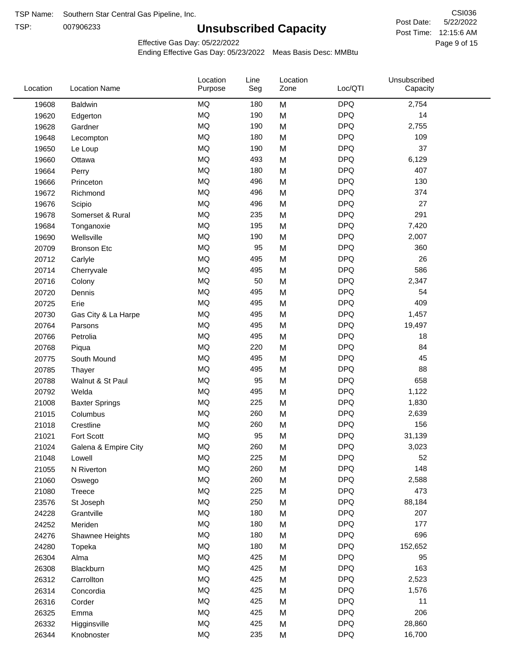TSP:

# **Unsubscribed Capacity**

5/22/2022 Page 9 of 15 Post Time: 12:15:6 AM CSI036 Post Date:

Effective Gas Day: 05/22/2022

| Location | <b>Location Name</b>  | Location<br>Purpose | Line<br>Seg | Location<br>Zone | Loc/QTI    | Unsubscribed<br>Capacity |  |
|----------|-----------------------|---------------------|-------------|------------------|------------|--------------------------|--|
| 19608    | Baldwin               | <b>MQ</b>           | 180         | M                | <b>DPQ</b> | 2,754                    |  |
| 19620    | Edgerton              | MQ                  | 190         | M                | <b>DPQ</b> | 14                       |  |
| 19628    | Gardner               | MQ                  | 190         | M                | <b>DPQ</b> | 2,755                    |  |
| 19648    | Lecompton             | <b>MQ</b>           | 180         | M                | <b>DPQ</b> | 109                      |  |
| 19650    | Le Loup               | <b>MQ</b>           | 190         | M                | <b>DPQ</b> | 37                       |  |
| 19660    | Ottawa                | <b>MQ</b>           | 493         | M                | <b>DPQ</b> | 6,129                    |  |
| 19664    | Perry                 | MQ                  | 180         | M                | <b>DPQ</b> | 407                      |  |
| 19666    | Princeton             | MQ                  | 496         | M                | <b>DPQ</b> | 130                      |  |
| 19672    | Richmond              | MQ                  | 496         | M                | <b>DPQ</b> | 374                      |  |
| 19676    | Scipio                | <b>MQ</b>           | 496         | M                | <b>DPQ</b> | 27                       |  |
| 19678    | Somerset & Rural      | MQ                  | 235         | M                | <b>DPQ</b> | 291                      |  |
| 19684    | Tonganoxie            | MQ                  | 195         | M                | <b>DPQ</b> | 7,420                    |  |
| 19690    | Wellsville            | MQ                  | 190         | M                | <b>DPQ</b> | 2,007                    |  |
| 20709    | <b>Bronson Etc</b>    | MQ                  | 95          | M                | <b>DPQ</b> | 360                      |  |
| 20712    | Carlyle               | MQ                  | 495         | M                | <b>DPQ</b> | 26                       |  |
| 20714    | Cherryvale            | MQ                  | 495         | M                | <b>DPQ</b> | 586                      |  |
| 20716    | Colony                | MQ                  | 50          | M                | <b>DPQ</b> | 2,347                    |  |
| 20720    | Dennis                | <b>MQ</b>           | 495         | M                | <b>DPQ</b> | 54                       |  |
| 20725    | Erie                  | <b>MQ</b>           | 495         | M                | <b>DPQ</b> | 409                      |  |
| 20730    | Gas City & La Harpe   | MQ                  | 495         | M                | <b>DPQ</b> | 1,457                    |  |
| 20764    | Parsons               | <b>MQ</b>           | 495         | M                | <b>DPQ</b> | 19,497                   |  |
| 20766    | Petrolia              | MQ                  | 495         | M                | <b>DPQ</b> | 18                       |  |
| 20768    | Piqua                 | MQ                  | 220         | M                | <b>DPQ</b> | 84                       |  |
| 20775    | South Mound           | MQ                  | 495         | M                | <b>DPQ</b> | 45                       |  |
| 20785    | Thayer                | <b>MQ</b>           | 495         | M                | <b>DPQ</b> | 88                       |  |
| 20788    | Walnut & St Paul      | MQ                  | 95          | M                | <b>DPQ</b> | 658                      |  |
| 20792    | Welda                 | <b>MQ</b>           | 495         | M                | <b>DPQ</b> | 1,122                    |  |
| 21008    | <b>Baxter Springs</b> | MQ                  | 225         | M                | <b>DPQ</b> | 1,830                    |  |
| 21015    | Columbus              | MQ                  | 260         | M                | <b>DPQ</b> | 2,639                    |  |
| 21018    | Crestline             | <b>MQ</b>           | 260         | M                | <b>DPQ</b> | 156                      |  |
| 21021    | Fort Scott            | <b>MQ</b>           | 95          | M                | <b>DPQ</b> | 31,139                   |  |
| 21024    | Galena & Empire City  | <b>MQ</b>           | 260         | M                | <b>DPQ</b> | 3,023                    |  |
| 21048    | Lowell                | MQ                  | 225         | M                | <b>DPQ</b> | 52                       |  |
| 21055    | N Riverton            | $\sf{MQ}$           | 260         | M                | <b>DPQ</b> | 148                      |  |
| 21060    | Oswego                | MQ                  | 260         | M                | <b>DPQ</b> | 2,588                    |  |
| 21080    | Treece                | MQ                  | 225         | M                | <b>DPQ</b> | 473                      |  |
| 23576    | St Joseph             | MQ                  | 250         | M                | <b>DPQ</b> | 88,184                   |  |
| 24228    | Grantville            | $\sf{MQ}$           | 180         | M                | <b>DPQ</b> | 207                      |  |
| 24252    | Meriden               | MQ                  | 180         | M                | <b>DPQ</b> | 177                      |  |
| 24276    | Shawnee Heights       | $\sf{MQ}$           | 180         | M                | <b>DPQ</b> | 696                      |  |
| 24280    | Topeka                | MQ                  | 180         | M                | <b>DPQ</b> | 152,652                  |  |
| 26304    | Alma                  | MQ                  | 425         | M                | <b>DPQ</b> | 95                       |  |
| 26308    | Blackburn             | MQ                  | 425         | M                | <b>DPQ</b> | 163                      |  |
| 26312    | Carrollton            | $\sf{MQ}$           | 425         | M                | <b>DPQ</b> | 2,523                    |  |
| 26314    | Concordia             | $\sf{MQ}$           | 425         | M                | <b>DPQ</b> | 1,576                    |  |
| 26316    | Corder                | MQ                  | 425         | M                | <b>DPQ</b> | 11                       |  |
| 26325    | Emma                  | $\sf{MQ}$           | 425         | M                | <b>DPQ</b> | 206                      |  |
| 26332    | Higginsville          | $\sf{MQ}$           | 425         | M                | <b>DPQ</b> | 28,860                   |  |
| 26344    | Knobnoster            | $\sf{MQ}$           | 235         | M                | <b>DPQ</b> | 16,700                   |  |
|          |                       |                     |             |                  |            |                          |  |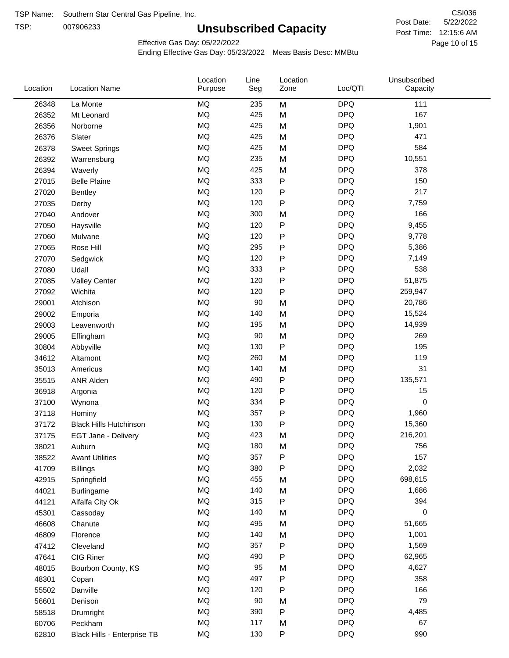TSP:

# **Unsubscribed Capacity**

5/22/2022 Page 10 of 15 Post Time: 12:15:6 AM CSI036 Post Date:

Unsubscribed

Effective Gas Day: 05/22/2022

Location

Ending Effective Gas Day: 05/23/2022 Meas Basis Desc: MMBtu

Line

Location

| Location | <b>Location Name</b>          | Purpose   | Seg | Zone      | Loc/QTI    | Capacity  |  |
|----------|-------------------------------|-----------|-----|-----------|------------|-----------|--|
| 26348    | La Monte                      | <b>MQ</b> | 235 | M         | <b>DPQ</b> | 111       |  |
| 26352    | Mt Leonard                    | MQ        | 425 | M         | <b>DPQ</b> | 167       |  |
| 26356    | Norborne                      | MQ        | 425 | M         | <b>DPQ</b> | 1,901     |  |
| 26376    | Slater                        | MQ        | 425 | M         | <b>DPQ</b> | 471       |  |
| 26378    | <b>Sweet Springs</b>          | MQ        | 425 | M         | <b>DPQ</b> | 584       |  |
| 26392    | Warrensburg                   | MQ        | 235 | M         | <b>DPQ</b> | 10,551    |  |
| 26394    | Waverly                       | MQ        | 425 | M         | <b>DPQ</b> | 378       |  |
| 27015    | <b>Belle Plaine</b>           | MQ        | 333 | ${\sf P}$ | <b>DPQ</b> | 150       |  |
| 27020    | Bentley                       | <b>MQ</b> | 120 | P         | <b>DPQ</b> | 217       |  |
| 27035    | Derby                         | <b>MQ</b> | 120 | ${\sf P}$ | <b>DPQ</b> | 7,759     |  |
| 27040    | Andover                       | MQ        | 300 | M         | <b>DPQ</b> | 166       |  |
| 27050    | Haysville                     | MQ        | 120 | ${\sf P}$ | <b>DPQ</b> | 9,455     |  |
| 27060    | Mulvane                       | MQ        | 120 | $\sf P$   | <b>DPQ</b> | 9,778     |  |
| 27065    | Rose Hill                     | MQ        | 295 | P         | <b>DPQ</b> | 5,386     |  |
| 27070    | Sedgwick                      | <b>MQ</b> | 120 | P         | <b>DPQ</b> | 7,149     |  |
| 27080    | Udall                         | MQ        | 333 | Ρ         | <b>DPQ</b> | 538       |  |
| 27085    | <b>Valley Center</b>          | MQ        | 120 | ${\sf P}$ | <b>DPQ</b> | 51,875    |  |
| 27092    | Wichita                       | <b>MQ</b> | 120 | ${\sf P}$ | <b>DPQ</b> | 259,947   |  |
| 29001    | Atchison                      | MQ        | 90  | M         | <b>DPQ</b> | 20,786    |  |
| 29002    | Emporia                       | MQ        | 140 | M         | <b>DPQ</b> | 15,524    |  |
| 29003    | Leavenworth                   | MQ        | 195 | M         | <b>DPQ</b> | 14,939    |  |
| 29005    | Effingham                     | MQ        | 90  | M         | <b>DPQ</b> | 269       |  |
| 30804    | Abbyville                     | <b>MQ</b> | 130 | ${\sf P}$ | <b>DPQ</b> | 195       |  |
| 34612    | Altamont                      | <b>MQ</b> | 260 | M         | <b>DPQ</b> | 119       |  |
| 35013    | Americus                      | <b>MQ</b> | 140 | M         | <b>DPQ</b> | 31        |  |
| 35515    | <b>ANR Alden</b>              | MQ        | 490 | ${\sf P}$ | <b>DPQ</b> | 135,571   |  |
| 36918    | Argonia                       | MQ        | 120 | ${\sf P}$ | <b>DPQ</b> | 15        |  |
| 37100    | Wynona                        | MQ        | 334 | ${\sf P}$ | <b>DPQ</b> | $\,0\,$   |  |
| 37118    | Hominy                        | MQ        | 357 | P         | <b>DPQ</b> | 1,960     |  |
| 37172    | <b>Black Hills Hutchinson</b> | $\sf{MQ}$ | 130 | P         | <b>DPQ</b> | 15,360    |  |
| 37175    | EGT Jane - Delivery           | MQ        | 423 | M         | <b>DPQ</b> | 216,201   |  |
| 38021    | Auburn                        | MQ        | 180 | M         | <b>DPQ</b> | 756       |  |
| 38522    | <b>Avant Utilities</b>        | MQ        | 357 | P         | <b>DPQ</b> | 157       |  |
| 41709    | <b>Billings</b>               | MQ        | 380 | P         | <b>DPQ</b> | 2,032     |  |
| 42915    | Springfield                   | MQ        | 455 | M         | <b>DPQ</b> | 698,615   |  |
| 44021    | Burlingame                    | MQ        | 140 | M         | <b>DPQ</b> | 1,686     |  |
| 44121    | Alfalfa City Ok               | MQ        | 315 | ${\sf P}$ | <b>DPQ</b> | 394       |  |
| 45301    | Cassoday                      | MQ        | 140 | M         | <b>DPQ</b> | $\pmb{0}$ |  |
| 46608    | Chanute                       | MQ        | 495 | M         | <b>DPQ</b> | 51,665    |  |
| 46809    | Florence                      | MQ        | 140 | M         | <b>DPQ</b> | 1,001     |  |
| 47412    | Cleveland                     | MQ        | 357 | ${\sf P}$ | <b>DPQ</b> | 1,569     |  |
| 47641    | CIG Riner                     | MQ        | 490 | ${\sf P}$ | <b>DPQ</b> | 62,965    |  |
| 48015    | Bourbon County, KS            | MQ        | 95  | M         | <b>DPQ</b> | 4,627     |  |
| 48301    | Copan                         | $\sf{MQ}$ | 497 | P         | <b>DPQ</b> | 358       |  |
| 55502    | Danville                      | MQ        | 120 | ${\sf P}$ | <b>DPQ</b> | 166       |  |
| 56601    | Denison                       | MQ        | 90  | M         | <b>DPQ</b> | 79        |  |
| 58518    | Drumright                     | MQ        | 390 | ${\sf P}$ | <b>DPQ</b> | 4,485     |  |
| 60706    | Peckham                       | MQ        | 117 | M         | <b>DPQ</b> | 67        |  |
| 62810    | Black Hills - Enterprise TB   | MQ        | 130 | P         | <b>DPQ</b> | 990       |  |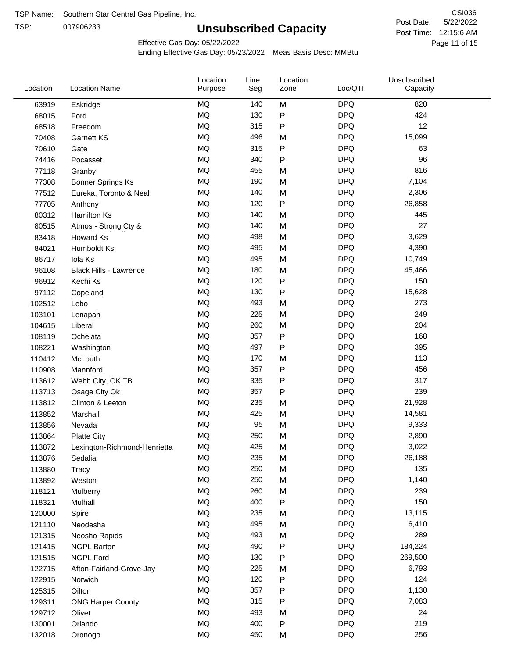TSP:

# **Unsubscribed Capacity**

5/22/2022 Page 11 of 15 Post Time: 12:15:6 AM CSI036 Post Date:

Effective Gas Day: 05/22/2022

| Location | <b>Location Name</b>          | Location<br>Purpose | Line<br>Seg | Location<br>Zone | Loc/QTI    | Unsubscribed<br>Capacity |  |
|----------|-------------------------------|---------------------|-------------|------------------|------------|--------------------------|--|
| 63919    | Eskridge                      | <b>MQ</b>           | 140         | M                | <b>DPQ</b> | 820                      |  |
| 68015    | Ford                          | MQ                  | 130         | P                | <b>DPQ</b> | 424                      |  |
| 68518    | Freedom                       | <b>MQ</b>           | 315         | P                | <b>DPQ</b> | 12                       |  |
| 70408    | Garnett KS                    | <b>MQ</b>           | 496         | M                | <b>DPQ</b> | 15,099                   |  |
| 70610    | Gate                          | <b>MQ</b>           | 315         | ${\sf P}$        | <b>DPQ</b> | 63                       |  |
| 74416    | Pocasset                      | <b>MQ</b>           | 340         | P                | <b>DPQ</b> | 96                       |  |
| 77118    | Granby                        | MQ                  | 455         | M                | <b>DPQ</b> | 816                      |  |
| 77308    | <b>Bonner Springs Ks</b>      | MQ                  | 190         | M                | <b>DPQ</b> | 7,104                    |  |
| 77512    | Eureka, Toronto & Neal        | MQ                  | 140         | M                | <b>DPQ</b> | 2,306                    |  |
| 77705    | Anthony                       | <b>MQ</b>           | 120         | P                | <b>DPQ</b> | 26,858                   |  |
| 80312    | Hamilton Ks                   | <b>MQ</b>           | 140         | M                | <b>DPQ</b> | 445                      |  |
| 80515    | Atmos - Strong Cty &          | MQ                  | 140         | M                | <b>DPQ</b> | 27                       |  |
| 83418    | Howard Ks                     | <b>MQ</b>           | 498         | M                | <b>DPQ</b> | 3,629                    |  |
| 84021    | Humboldt Ks                   | <b>MQ</b>           | 495         | M                | <b>DPQ</b> | 4,390                    |  |
| 86717    | Iola Ks                       | <b>MQ</b>           | 495         | M                | <b>DPQ</b> | 10,749                   |  |
| 96108    | <b>Black Hills - Lawrence</b> | MQ                  | 180         | M                | <b>DPQ</b> | 45,466                   |  |
| 96912    | Kechi Ks                      | <b>MQ</b>           | 120         | P                | <b>DPQ</b> | 150                      |  |
| 97112    | Copeland                      | <b>MQ</b>           | 130         | P                | <b>DPQ</b> | 15,628                   |  |
| 102512   | Lebo                          | <b>MQ</b>           | 493         | M                | <b>DPQ</b> | 273                      |  |
| 103101   | Lenapah                       | MQ                  | 225         | M                | <b>DPQ</b> | 249                      |  |
| 104615   | Liberal                       | <b>MQ</b>           | 260         | M                | <b>DPQ</b> | 204                      |  |
| 108119   | Ochelata                      | <b>MQ</b>           | 357         | P                | <b>DPQ</b> | 168                      |  |
| 108221   | Washington                    | <b>MQ</b>           | 497         | P                | <b>DPQ</b> | 395                      |  |
| 110412   | McLouth                       | <b>MQ</b>           | 170         | M                | <b>DPQ</b> | 113                      |  |
| 110908   | Mannford                      | <b>MQ</b>           | 357         | ${\sf P}$        | <b>DPQ</b> | 456                      |  |
| 113612   | Webb City, OK TB              | <b>MQ</b>           | 335         | P                | <b>DPQ</b> | 317                      |  |
| 113713   | Osage City Ok                 | <b>MQ</b>           | 357         | P                | <b>DPQ</b> | 239                      |  |
| 113812   | Clinton & Leeton              | <b>MQ</b>           | 235         | M                | <b>DPQ</b> | 21,928                   |  |
| 113852   | Marshall                      | <b>MQ</b>           | 425         | M                | <b>DPQ</b> | 14,581                   |  |
| 113856   | Nevada                        | <b>MQ</b>           | 95          | M                | <b>DPQ</b> | 9,333                    |  |
| 113864   | <b>Platte City</b>            | <b>MQ</b>           | 250         | M                | <b>DPQ</b> | 2,890                    |  |
| 113872   | Lexington-Richmond-Henrietta  | MQ                  | 425         | Μ                | <b>DPQ</b> | 3,022                    |  |
| 113876   | Sedalia                       | MQ                  | 235         | M                | <b>DPQ</b> | 26,188                   |  |
| 113880   | Tracy                         | MQ                  | 250         | M                | <b>DPQ</b> | 135                      |  |
| 113892   | Weston                        | MQ                  | 250         | M                | <b>DPQ</b> | 1,140                    |  |
| 118121   | Mulberry                      | MQ                  | 260         | M                | <b>DPQ</b> | 239                      |  |
| 118321   | Mulhall                       | MQ                  | 400         | P                | <b>DPQ</b> | 150                      |  |
| 120000   | Spire                         | MQ                  | 235         | M                | <b>DPQ</b> | 13,115                   |  |
| 121110   | Neodesha                      | MQ                  | 495         | M                | <b>DPQ</b> | 6,410                    |  |
| 121315   | Neosho Rapids                 | MQ                  | 493         | M                | <b>DPQ</b> | 289                      |  |
| 121415   | <b>NGPL Barton</b>            | MQ                  | 490         | P                | <b>DPQ</b> | 184,224                  |  |
| 121515   | <b>NGPL Ford</b>              | MQ                  | 130         | P                | <b>DPQ</b> | 269,500                  |  |
| 122715   | Afton-Fairland-Grove-Jay      | MQ                  | 225         | M                | <b>DPQ</b> | 6,793                    |  |
| 122915   | Norwich                       | MQ                  | 120         | P                | <b>DPQ</b> | 124                      |  |
| 125315   | Oilton                        | MQ                  | 357         | P                | <b>DPQ</b> | 1,130                    |  |
| 129311   | <b>ONG Harper County</b>      | MQ                  | 315         | P                | <b>DPQ</b> | 7,083                    |  |
| 129712   | Olivet                        | MQ                  | 493         | M                | <b>DPQ</b> | 24                       |  |
| 130001   | Orlando                       | $\sf{MQ}$           | 400         | P                | <b>DPQ</b> | 219                      |  |
| 132018   | Oronogo                       | $\sf{MQ}$           | 450         | M                | <b>DPQ</b> | 256                      |  |
|          |                               |                     |             |                  |            |                          |  |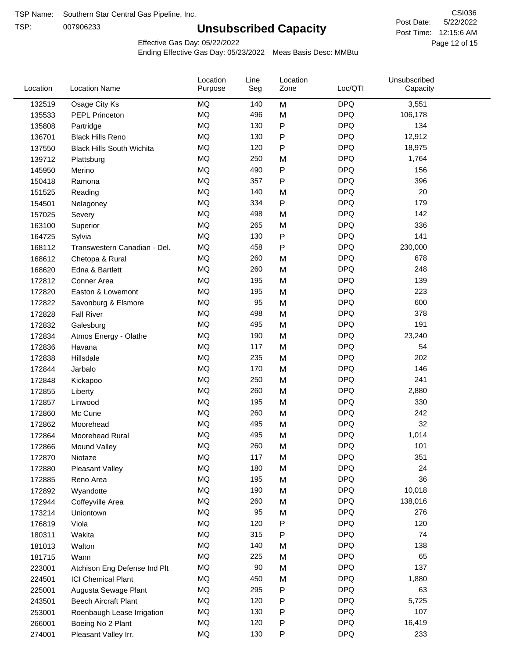TSP:

# **Unsubscribed Capacity**

5/22/2022 Page 12 of 15 Post Time: 12:15:6 AM CSI036 Post Date:

Effective Gas Day: 05/22/2022

| Location | <b>Location Name</b>             | Location<br>Purpose | Line<br>Seg | Location<br>Zone | Loc/QTI    | Unsubscribed<br>Capacity |  |
|----------|----------------------------------|---------------------|-------------|------------------|------------|--------------------------|--|
| 132519   | Osage City Ks                    | MQ                  | 140         | M                | <b>DPQ</b> | 3,551                    |  |
| 135533   | <b>PEPL Princeton</b>            | MQ                  | 496         | M                | <b>DPQ</b> | 106,178                  |  |
| 135808   | Partridge                        | MQ                  | 130         | P                | <b>DPQ</b> | 134                      |  |
| 136701   | <b>Black Hills Reno</b>          | MQ                  | 130         | P                | <b>DPQ</b> | 12,912                   |  |
| 137550   | <b>Black Hills South Wichita</b> | <b>MQ</b>           | 120         | P                | <b>DPQ</b> | 18,975                   |  |
| 139712   | Plattsburg                       | MQ                  | 250         | M                | <b>DPQ</b> | 1,764                    |  |
| 145950   | Merino                           | MQ                  | 490         | P                | <b>DPQ</b> | 156                      |  |
| 150418   | Ramona                           | MQ                  | 357         | P                | <b>DPQ</b> | 396                      |  |
| 151525   | Reading                          | MQ                  | 140         | M                | <b>DPQ</b> | 20                       |  |
| 154501   | Nelagoney                        | MQ                  | 334         | P                | <b>DPQ</b> | 179                      |  |
| 157025   | Severy                           | MQ                  | 498         | M                | <b>DPQ</b> | 142                      |  |
| 163100   | Superior                         | MQ                  | 265         | M                | <b>DPQ</b> | 336                      |  |
| 164725   | Sylvia                           | MQ                  | 130         | P                | <b>DPQ</b> | 141                      |  |
| 168112   | Transwestern Canadian - Del.     | MQ                  | 458         | P                | <b>DPQ</b> | 230,000                  |  |
| 168612   | Chetopa & Rural                  | MQ                  | 260         | M                | <b>DPQ</b> | 678                      |  |
| 168620   | Edna & Bartlett                  | MQ                  | 260         | M                | <b>DPQ</b> | 248                      |  |
| 172812   | Conner Area                      | MQ                  | 195         | M                | <b>DPQ</b> | 139                      |  |
| 172820   | Easton & Lowemont                | MQ                  | 195         | M                | <b>DPQ</b> | 223                      |  |
| 172822   | Savonburg & Elsmore              | MQ                  | 95          | M                | <b>DPQ</b> | 600                      |  |
| 172828   | <b>Fall River</b>                | <b>MQ</b>           | 498         | M                | <b>DPQ</b> | 378                      |  |
| 172832   | Galesburg                        | MQ                  | 495         | M                | <b>DPQ</b> | 191                      |  |
| 172834   | Atmos Energy - Olathe            | MQ                  | 190         | M                | <b>DPQ</b> | 23,240                   |  |
| 172836   | Havana                           | MQ                  | 117         | M                | <b>DPQ</b> | 54                       |  |
| 172838   | Hillsdale                        | <b>MQ</b>           | 235         | M                | <b>DPQ</b> | 202                      |  |
| 172844   | Jarbalo                          | MQ                  | 170         | M                | <b>DPQ</b> | 146                      |  |
| 172848   | Kickapoo                         | MQ                  | 250         | M                | <b>DPQ</b> | 241                      |  |
| 172855   | Liberty                          | <b>MQ</b>           | 260         | M                | <b>DPQ</b> | 2,880                    |  |
| 172857   | Linwood                          | MQ                  | 195         | M                | <b>DPQ</b> | 330                      |  |
| 172860   | Mc Cune                          | MQ                  | 260         | M                | <b>DPQ</b> | 242                      |  |
| 172862   | Moorehead                        | MQ                  | 495         | M                | <b>DPQ</b> | 32                       |  |
| 172864   | Moorehead Rural                  | MQ                  | 495         | M                | <b>DPQ</b> | 1,014                    |  |
| 172866   | Mound Valley                     | MQ                  | 260         | M                | <b>DPQ</b> | 101                      |  |
| 172870   | Niotaze                          | MQ                  | 117         | M                | <b>DPQ</b> | 351                      |  |
| 172880   | Pleasant Valley                  | MQ                  | 180         | M                | <b>DPQ</b> | 24                       |  |
| 172885   | Reno Area                        | MQ                  | 195         | M                | <b>DPQ</b> | 36                       |  |
| 172892   | Wyandotte                        | $\sf{MQ}$           | 190         | M                | <b>DPQ</b> | 10,018                   |  |
| 172944   | Coffeyville Area                 | MQ                  | 260         | M                | <b>DPQ</b> | 138,016                  |  |
| 173214   | Uniontown                        | MQ                  | 95          | M                | <b>DPQ</b> | 276                      |  |
| 176819   | Viola                            | MQ                  | 120         | Ρ                | <b>DPQ</b> | 120                      |  |
| 180311   | Wakita                           | MQ                  | 315         | Ρ                | <b>DPQ</b> | 74                       |  |
| 181013   | Walton                           | MQ                  | 140         | M                | <b>DPQ</b> | 138                      |  |
| 181715   | Wann                             | MQ                  | 225         | M                | <b>DPQ</b> | 65                       |  |
| 223001   | Atchison Eng Defense Ind Plt     | $\sf{MQ}$           | 90          | M                | <b>DPQ</b> | 137                      |  |
| 224501   | <b>ICI Chemical Plant</b>        | MQ                  | 450         | M                | <b>DPQ</b> | 1,880                    |  |
| 225001   | Augusta Sewage Plant             | MQ                  | 295         | Ρ                | <b>DPQ</b> | 63                       |  |
| 243501   | <b>Beech Aircraft Plant</b>      | MQ                  | 120         | Ρ                | <b>DPQ</b> | 5,725                    |  |
| 253001   | Roenbaugh Lease Irrigation       | MQ                  | 130         | P                | <b>DPQ</b> | 107                      |  |
| 266001   | Boeing No 2 Plant                | MQ                  | 120         | P                | <b>DPQ</b> | 16,419                   |  |
| 274001   | Pleasant Valley Irr.             | MQ                  | 130         | P                | <b>DPQ</b> | 233                      |  |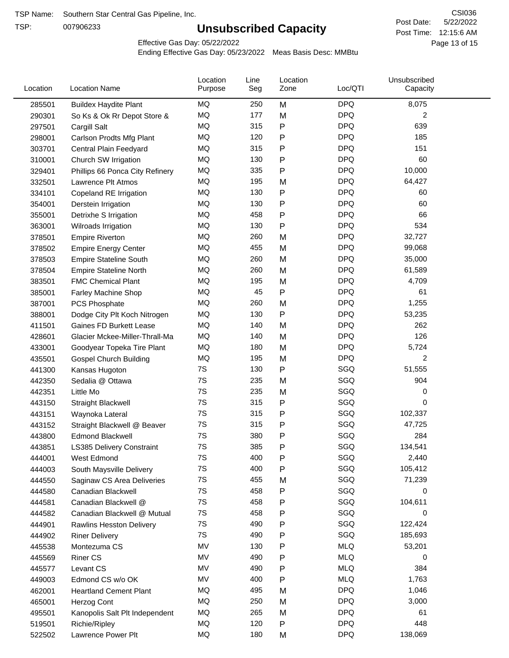TSP:

# **Unsubscribed Capacity**

5/22/2022 Page 13 of 15 Post Time: 12:15:6 AM CSI036 Post Date:

Effective Gas Day: 05/22/2022

| Location | <b>Location Name</b>            | Location<br>Purpose | Line<br>Seg | Location<br>Zone | Loc/QTI    | Unsubscribed<br>Capacity |
|----------|---------------------------------|---------------------|-------------|------------------|------------|--------------------------|
| 285501   | <b>Buildex Haydite Plant</b>    | MQ                  | 250         | M                | <b>DPQ</b> | 8,075                    |
| 290301   | So Ks & Ok Rr Depot Store &     | MQ                  | 177         | M                | <b>DPQ</b> | 2                        |
| 297501   | Cargill Salt                    | MQ                  | 315         | P                | <b>DPQ</b> | 639                      |
| 298001   | Carlson Prodts Mfg Plant        | MQ                  | 120         | P                | <b>DPQ</b> | 185                      |
| 303701   | Central Plain Feedyard          | MQ                  | 315         | P                | <b>DPQ</b> | 151                      |
| 310001   | Church SW Irrigation            | MQ                  | 130         | P                | <b>DPQ</b> | 60                       |
| 329401   | Phillips 66 Ponca City Refinery | MQ                  | 335         | P                | <b>DPQ</b> | 10,000                   |
| 332501   | Lawrence Plt Atmos              | MQ                  | 195         | M                | <b>DPQ</b> | 64,427                   |
| 334101   | Copeland RE Irrigation          | <b>MQ</b>           | 130         | P                | <b>DPQ</b> | 60                       |
| 354001   | Derstein Irrigation             | MQ                  | 130         | P                | <b>DPQ</b> | 60                       |
| 355001   | Detrixhe S Irrigation           | MQ                  | 458         | P                | <b>DPQ</b> | 66                       |
| 363001   | Wilroads Irrigation             | MQ                  | 130         | P                | <b>DPQ</b> | 534                      |
| 378501   | <b>Empire Riverton</b>          | MQ                  | 260         | M                | <b>DPQ</b> | 32,727                   |
| 378502   | <b>Empire Energy Center</b>     | <b>MQ</b>           | 455         | M                | <b>DPQ</b> | 99,068                   |
| 378503   | <b>Empire Stateline South</b>   | MQ                  | 260         | M                | <b>DPQ</b> | 35,000                   |
| 378504   | <b>Empire Stateline North</b>   | MQ                  | 260         | M                | <b>DPQ</b> | 61,589                   |
| 383501   | <b>FMC Chemical Plant</b>       | MQ                  | 195         | M                | <b>DPQ</b> | 4,709                    |
| 385001   | Farley Machine Shop             | MQ                  | 45          | P                | <b>DPQ</b> | 61                       |
| 387001   | PCS Phosphate                   | MQ                  | 260         | M                | <b>DPQ</b> | 1,255                    |
| 388001   | Dodge City Plt Koch Nitrogen    | MQ                  | 130         | P                | <b>DPQ</b> | 53,235                   |
| 411501   | Gaines FD Burkett Lease         | MQ                  | 140         | M                | <b>DPQ</b> | 262                      |
| 428601   | Glacier Mckee-Miller-Thrall-Ma  | <b>MQ</b>           | 140         | M                | <b>DPQ</b> | 126                      |
| 433001   | Goodyear Topeka Tire Plant      | <b>MQ</b>           | 180         | M                | <b>DPQ</b> | 5,724                    |
| 435501   | <b>Gospel Church Building</b>   | MQ                  | 195         | M                | <b>DPQ</b> | $\overline{c}$           |
| 441300   | Kansas Hugoton                  | 7S                  | 130         | P                | SGQ        | 51,555                   |
| 442350   | Sedalia @ Ottawa                | 7S                  | 235         | M                | SGQ        | 904                      |
| 442351   | Little Mo                       | 7S                  | 235         | M                | SGQ        | 0                        |
| 443150   | <b>Straight Blackwell</b>       | 7S                  | 315         | P                | SGQ        | $\mathbf 0$              |
| 443151   | Waynoka Lateral                 | 7S                  | 315         | Ρ                | SGQ        | 102,337                  |
| 443152   | Straight Blackwell @ Beaver     | 7S                  | 315         | P                | SGQ        | 47,725                   |
| 443800   | <b>Edmond Blackwell</b>         | 7S                  | 380         | P                | SGQ        | 284                      |
| 443851   | LS385 Delivery Constraint       | 7S                  | 385         | P                | SGQ        | 134,541                  |
| 444001   | West Edmond                     | 7S                  | 400         | P                | SGQ        | 2,440                    |
| 444003   | South Maysville Delivery        | 7S                  | 400         | P                | SGQ        | 105,412                  |
| 444550   | Saginaw CS Area Deliveries      | 7S                  | 455         | M                | SGQ        | 71,239                   |
| 444580   | Canadian Blackwell              | 7S                  | 458         | P                | SGQ        | 0                        |
| 444581   | Canadian Blackwell @            | 7S                  | 458         | P                | SGQ        | 104,611                  |
| 444582   | Canadian Blackwell @ Mutual     | 7S                  | 458         | Ρ                | SGQ        | 0                        |
| 444901   | <b>Rawlins Hesston Delivery</b> | 7S                  | 490         | P                | SGQ        | 122,424                  |
| 444902   | <b>Riner Delivery</b>           | 7S                  | 490         | Ρ                | SGQ        | 185,693                  |
| 445538   | Montezuma CS                    | MV                  | 130         | P                | <b>MLQ</b> | 53,201                   |
| 445569   | <b>Riner CS</b>                 | MV                  | 490         | P                | <b>MLQ</b> | 0                        |
| 445577   | Levant CS                       | MV                  | 490         | Ρ                | <b>MLQ</b> | 384                      |
| 449003   | Edmond CS w/o OK                | MV                  | 400         | P                | <b>MLQ</b> | 1,763                    |
| 462001   | <b>Heartland Cement Plant</b>   | MQ                  | 495         | M                | <b>DPQ</b> | 1,046                    |
| 465001   | Herzog Cont                     | MQ                  | 250         | M                | <b>DPQ</b> | 3,000                    |
| 495501   | Kanopolis Salt Plt Independent  | MQ                  | 265         | M                | <b>DPQ</b> | 61                       |
| 519501   | Richie/Ripley                   | MQ                  | 120         | P                | <b>DPQ</b> | 448                      |
| 522502   | Lawrence Power Plt              | MQ                  | 180         | M                | <b>DPQ</b> | 138,069                  |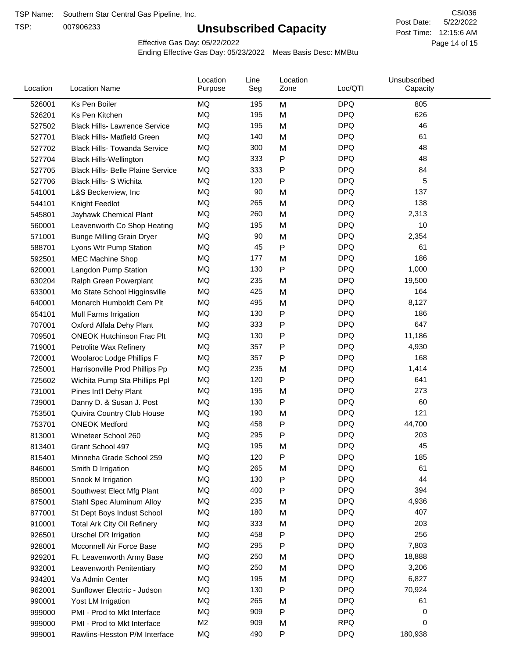TSP:

# **Unsubscribed Capacity**

5/22/2022 Page 14 of 15 Post Time: 12:15:6 AM CSI036 Post Date:

Effective Gas Day: 05/22/2022

| Location | <b>Location Name</b>                     | Location<br>Purpose | Line<br>Seg | Location<br>Zone | Loc/QTI    | Unsubscribed<br>Capacity |  |
|----------|------------------------------------------|---------------------|-------------|------------------|------------|--------------------------|--|
| 526001   | Ks Pen Boiler                            | MQ                  | 195         | M                | <b>DPQ</b> | 805                      |  |
| 526201   | Ks Pen Kitchen                           | MQ                  | 195         | M                | <b>DPQ</b> | 626                      |  |
| 527502   | <b>Black Hills- Lawrence Service</b>     | MQ                  | 195         | M                | <b>DPQ</b> | 46                       |  |
| 527701   | <b>Black Hills- Matfield Green</b>       | <b>MQ</b>           | 140         | M                | <b>DPQ</b> | 61                       |  |
| 527702   | <b>Black Hills- Towanda Service</b>      | MQ                  | 300         | M                | <b>DPQ</b> | 48                       |  |
| 527704   | <b>Black Hills-Wellington</b>            | MQ                  | 333         | P                | <b>DPQ</b> | 48                       |  |
| 527705   | <b>Black Hills- Belle Plaine Service</b> | MQ                  | 333         | Ρ                | <b>DPQ</b> | 84                       |  |
| 527706   | <b>Black Hills- S Wichita</b>            | MQ                  | 120         | P                | <b>DPQ</b> | 5                        |  |
| 541001   | L&S Beckerview, Inc.                     | MQ                  | 90          | M                | <b>DPQ</b> | 137                      |  |
| 544101   | Knight Feedlot                           | MQ                  | 265         | M                | <b>DPQ</b> | 138                      |  |
| 545801   | Jayhawk Chemical Plant                   | MQ                  | 260         | M                | <b>DPQ</b> | 2,313                    |  |
| 560001   | Leavenworth Co Shop Heating              | MQ                  | 195         | M                | <b>DPQ</b> | 10                       |  |
| 571001   | <b>Bunge Milling Grain Dryer</b>         | MQ                  | 90          | M                | <b>DPQ</b> | 2,354                    |  |
| 588701   | Lyons Wtr Pump Station                   | MQ                  | 45          | P                | <b>DPQ</b> | 61                       |  |
| 592501   | <b>MEC Machine Shop</b>                  | MQ                  | 177         | M                | <b>DPQ</b> | 186                      |  |
| 620001   | Langdon Pump Station                     | MQ                  | 130         | Ρ                | <b>DPQ</b> | 1,000                    |  |
| 630204   | Ralph Green Powerplant                   | MQ                  | 235         | M                | <b>DPQ</b> | 19,500                   |  |
| 633001   | Mo State School Higginsville             | MQ                  | 425         | M                | <b>DPQ</b> | 164                      |  |
| 640001   | Monarch Humboldt Cem Plt                 | MQ                  | 495         | M                | <b>DPQ</b> | 8,127                    |  |
| 654101   | Mull Farms Irrigation                    | MQ                  | 130         | P                | <b>DPQ</b> | 186                      |  |
| 707001   | Oxford Alfala Dehy Plant                 | MQ                  | 333         | P                | <b>DPQ</b> | 647                      |  |
| 709501   | <b>ONEOK Hutchinson Frac Plt</b>         | <b>MQ</b>           | 130         | P                | <b>DPQ</b> | 11,186                   |  |
| 719001   | Petrolite Wax Refinery                   | MQ                  | 357         | Ρ                | <b>DPQ</b> | 4,930                    |  |
| 720001   | Woolaroc Lodge Phillips F                | MQ                  | 357         | Ρ                | <b>DPQ</b> | 168                      |  |
| 725001   | Harrisonville Prod Phillips Pp           | MQ                  | 235         | M                | <b>DPQ</b> | 1,414                    |  |
| 725602   | Wichita Pump Sta Phillips Ppl            | MQ                  | 120         | Ρ                | <b>DPQ</b> | 641                      |  |
| 731001   | Pines Int'l Dehy Plant                   | MQ                  | 195         | M                | <b>DPQ</b> | 273                      |  |
| 739001   | Danny D. & Susan J. Post                 | MQ                  | 130         | P                | <b>DPQ</b> | 60                       |  |
| 753501   | Quivira Country Club House               | MQ                  | 190         | M                | <b>DPQ</b> | 121                      |  |
| 753701   | <b>ONEOK Medford</b>                     | MQ                  | 458         | Ρ                | <b>DPQ</b> | 44,700                   |  |
| 813001   | Wineteer School 260                      | MQ                  | 295         | Ρ                | <b>DPQ</b> | 203                      |  |
| 813401   | Grant School 497                         | MQ                  | 195         | M                | <b>DPQ</b> | 45                       |  |
| 815401   | Minneha Grade School 259                 | MQ                  | 120         | Ρ                | <b>DPQ</b> | 185                      |  |
| 846001   | Smith D Irrigation                       | MQ                  | 265         | M                | <b>DPQ</b> | 61                       |  |
| 850001   | Snook M Irrigation                       | MQ                  | 130         | Ρ                | <b>DPQ</b> | 44                       |  |
| 865001   | Southwest Elect Mfg Plant                | MQ                  | 400         | P                | <b>DPQ</b> | 394                      |  |
| 875001   | Stahl Spec Aluminum Alloy                | MQ                  | 235         | M                | <b>DPQ</b> | 4,936                    |  |
| 877001   | St Dept Boys Indust School               | MQ                  | 180         | M                | <b>DPQ</b> | 407                      |  |
| 910001   | <b>Total Ark City Oil Refinery</b>       | MQ                  | 333         | M                | <b>DPQ</b> | 203                      |  |
| 926501   | <b>Urschel DR Irrigation</b>             | MQ                  | 458         | P                | <b>DPQ</b> | 256                      |  |
| 928001   | Mcconnell Air Force Base                 | MQ                  | 295         | Ρ                | <b>DPQ</b> | 7,803                    |  |
| 929201   | Ft. Leavenworth Army Base                | MQ                  | 250         | M                | <b>DPQ</b> | 18,888                   |  |
| 932001   | Leavenworth Penitentiary                 | MQ                  | 250         | M                | <b>DPQ</b> | 3,206                    |  |
| 934201   | Va Admin Center                          | MQ                  | 195         | M                | <b>DPQ</b> | 6,827                    |  |
| 962001   | Sunflower Electric - Judson              | MQ                  | 130         | P                | <b>DPQ</b> | 70,924                   |  |
| 990001   | Yost LM Irrigation                       | MQ                  | 265         | M                | <b>DPQ</b> | 61                       |  |
| 999000   | PMI - Prod to Mkt Interface              | MQ                  | 909         | Ρ                | <b>DPQ</b> | 0                        |  |
| 999000   | PMI - Prod to Mkt Interface              | M <sub>2</sub>      | 909         | M                | <b>RPQ</b> | 0                        |  |
| 999001   | Rawlins-Hesston P/M Interface            | MQ                  | 490         | P                | <b>DPQ</b> | 180,938                  |  |